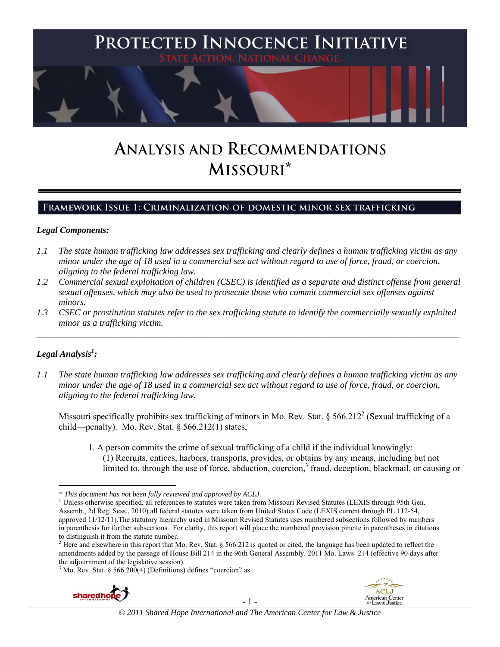

# **ANALYSIS AND RECOMMENDATIONS MISSOURI\***

# **Framework Issue 1: Criminalization of domestic minor sex trafficking**

## *Legal Components:*

- *1.1 The state human trafficking law addresses sex trafficking and clearly defines a human trafficking victim as any minor under the age of 18 used in a commercial sex act without regard to use of force, fraud, or coercion, aligning to the federal trafficking law.*
- *1.2 Commercial sexual exploitation of children (CSEC) is identified as a separate and distinct offense from general sexual offenses, which may also be used to prosecute those who commit commercial sex offenses against minors.*
- *1.3 CSEC or prostitution statutes refer to the sex trafficking statute to identify the commercially sexually exploited minor as a trafficking victim.*   $\mathcal{L}_\mathcal{L} = \{ \mathcal{L}_\mathcal{L} = \{ \mathcal{L}_\mathcal{L} = \{ \mathcal{L}_\mathcal{L} = \{ \mathcal{L}_\mathcal{L} = \{ \mathcal{L}_\mathcal{L} = \{ \mathcal{L}_\mathcal{L} = \{ \mathcal{L}_\mathcal{L} = \{ \mathcal{L}_\mathcal{L} = \{ \mathcal{L}_\mathcal{L} = \{ \mathcal{L}_\mathcal{L} = \{ \mathcal{L}_\mathcal{L} = \{ \mathcal{L}_\mathcal{L} = \{ \mathcal{L}_\mathcal{L} = \{ \mathcal{L}_\mathcal{$

# *Legal Analysis1 :*

*1.1 The state human trafficking law addresses sex trafficking and clearly defines a human trafficking victim as any minor under the age of 18 used in a commercial sex act without regard to use of force, fraud, or coercion, aligning to the federal trafficking law.*

Missouri specifically prohibits sex trafficking of minors in Mo. Rev. Stat. § 566.212<sup>2</sup> (Sexual trafficking of a child—penalty). Mo. Rev. Stat. § 566.212(1) states,

1. A person commits the crime of sexual trafficking of a child if the individual knowingly: (1) Recruits, entices, harbors, transports, provides, or obtains by any means, including but not limited to, through the use of force, abduction, coercion,<sup>3</sup> fraud, deception, blackmail, or causing or

 $3$  Mo. Rev. Stat. § 566.200(4) (Definitions) defines "coercion" as







*<sup>\*</sup> This document has not been fully reviewed and approved by ACLJ.* <sup>1</sup>

 $<sup>1</sup>$  Unless otherwise specified, all references to statutes were taken from Missouri Revised Statutes (LEXIS through 95th Gen.</sup> Assemb., 2d Reg. Sess., 2010) all federal statutes were taken from United States Code (LEXIS current through PL 112-54, approved 11/12/11).The statutory hierarchy used in Missouri Revised Statutes uses numbered subsections followed by numbers in parenthesis for further subsections. For clarity, this report will place the numbered provision pincite in parentheses in citations to distinguish it from the statute number. 2

 $^{2}$  Here and elsewhere in this report that Mo. Rev. Stat. § 566.212 is quoted or cited, the language has been updated to reflect the amendments added by the passage of House Bill 214 in the 96th General Assembly. 2011 Mo. Laws 214 (effective 90 days after the adjournment of the legislative session).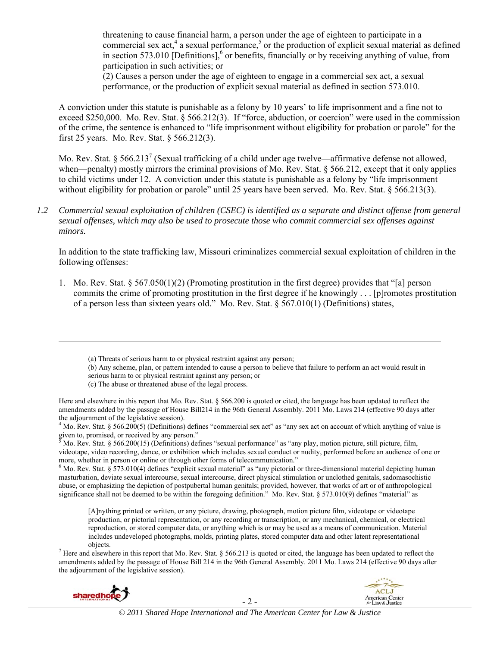threatening to cause financial harm, a person under the age of eighteen to participate in a commercial sex act,<sup>4</sup> a sexual performance,<sup>5</sup> or the production of explicit sexual material as defined in section 573.010 [Definitions], $6$  or benefits, financially or by receiving anything of value, from participation in such activities; or

(2) Causes a person under the age of eighteen to engage in a commercial sex act, a sexual performance, or the production of explicit sexual material as defined in section 573.010.

A conviction under this statute is punishable as a felony by 10 years' to life imprisonment and a fine not to exceed \$250,000. Mo. Rev. Stat. § 566.212(3). If "force, abduction, or coercion" were used in the commission of the crime, the sentence is enhanced to "life imprisonment without eligibility for probation or parole" for the first 25 years. Mo. Rev. Stat. § 566.212(3).

Mo. Rev. Stat. § 566.213<sup>7</sup> (Sexual trafficking of a child under age twelve—affirmative defense not allowed, when—penalty) mostly mirrors the criminal provisions of Mo. Rev. Stat. § 566.212, except that it only applies to child victims under 12. A conviction under this statute is punishable as a felony by "life imprisonment without eligibility for probation or parole" until 25 years have been served. Mo. Rev. Stat. § 566.213(3).

*1.2 Commercial sexual exploitation of children (CSEC) is identified as a separate and distinct offense from general sexual offenses, which may also be used to prosecute those who commit commercial sex offenses against minors.*

In addition to the state trafficking law, Missouri criminalizes commercial sexual exploitation of children in the following offenses:

1. Mo. Rev. Stat. § 567.050(1)(2) (Promoting prostitution in the first degree) provides that "[a] person commits the crime of promoting prostitution in the first degree if he knowingly . . . [p]romotes prostitution of a person less than sixteen years old." Mo. Rev. Stat.  $\S 567.010(1)$  (Definitions) states,

(b) Any scheme, plan, or pattern intended to cause a person to believe that failure to perform an act would result in serious harm to or physical restraint against any person; or

<u> Andrewski politika (za obrazu pod predsjednika u predsjednika u predsjednika u predsjednika (za obrazu pod p</u>

(c) The abuse or threatened abuse of the legal process.

Here and elsewhere in this report that Mo. Rev. Stat. § 566.200 is quoted or cited, the language has been updated to reflect the amendments added by the passage of House Bill214 in the 96th General Assembly. 2011 Mo. Laws 214 (effective 90 days after the adjournment of the legislative session).

 $4 \text{ Mo. Rev. Stat. }$  § 566.200(5) (Definitions) defines "commercial sex act" as "any sex act on account of which anything of value is given to, promised, or received by any person."<br> ${}^{5}$  M<sub>2</sub>, B<sub>2</sub>. Stot,  $S$  566, 200(15) (Definitional def

 Mo. Rev. Stat. § 566.200(15) (Definitions) defines "sexual performance" as "any play, motion picture, still picture, film, videotape, video recording, dance, or exhibition which includes sexual conduct or nudity, performed before an audience of one or more, whether in person or online or through other forms of telecommunication." 6

 $6$  Mo. Rev. Stat. § 573.010(4) defines "explicit sexual material" as "any pictorial or three-dimensional material depicting human masturbation, deviate sexual intercourse, sexual intercourse, direct physical stimulation or unclothed genitals, sadomasochistic abuse, or emphasizing the depiction of postpubertal human genitals; provided, however, that works of art or of anthropological significance shall not be deemed to be within the foregoing definition." Mo. Rev. Stat. § 573.010(9) defines "material" as

[A]nything printed or written, or any picture, drawing, photograph, motion picture film, videotape or videotape production, or pictorial representation, or any recording or transcription, or any mechanical, chemical, or electrical reproduction, or stored computer data, or anything which is or may be used as a means of communication. Material includes undeveloped photographs, molds, printing plates, stored computer data and other latent representational

objects.<br><sup>7</sup> Here and elsewhere in this report that Mo. Rev. Stat. § 566.213 is quoted or cited, the language has been updated to reflect the amendments added by the passage of House Bill 214 in the 96th General Assembly. 2011 Mo. Laws 214 (effective 90 days after the adjournment of the legislative session).





<sup>(</sup>a) Threats of serious harm to or physical restraint against any person;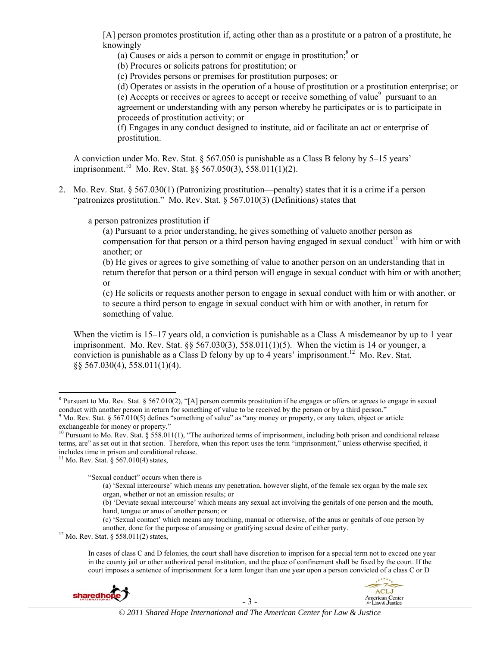[A] person promotes prostitution if, acting other than as a prostitute or a patron of a prostitute, he knowingly

(a) Causes or aids a person to commit or engage in prostitution; $\delta$  or

(b) Procures or solicits patrons for prostitution; or

(c) Provides persons or premises for prostitution purposes; or

(d) Operates or assists in the operation of a house of prostitution or a prostitution enterprise; or

(e) Accepts or receives or agrees to accept or receive something of value<sup>9</sup> pursuant to an agreement or understanding with any person whereby he participates or is to participate in proceeds of prostitution activity; or

(f) Engages in any conduct designed to institute, aid or facilitate an act or enterprise of prostitution.

A conviction under Mo. Rev. Stat. § 567.050 is punishable as a Class B felony by 5–15 years' imprisonment.<sup>10</sup> Mo. Rev. Stat. §§ 567.050(3), 558.011(1)(2).

2. Mo. Rev. Stat. § 567.030(1) (Patronizing prostitution—penalty) states that it is a crime if a person "patronizes prostitution." Mo. Rev. Stat. § 567.010(3) (Definitions) states that

a person patronizes prostitution if

(a) Pursuant to a prior understanding, he gives something of valueto another person as compensation for that person or a third person having engaged in sexual conduct<sup>11</sup> with him or with another; or

(b) He gives or agrees to give something of value to another person on an understanding that in return therefor that person or a third person will engage in sexual conduct with him or with another; or

(c) He solicits or requests another person to engage in sexual conduct with him or with another, or to secure a third person to engage in sexual conduct with him or with another, in return for something of value.

When the victim is 15–17 years old, a conviction is punishable as a Class A misdemeanor by up to 1 year imprisonment. Mo. Rev. Stat.  $88\,567.030(3)$ ,  $558.011(1)(5)$ . When the victim is 14 or younger, a conviction is punishable as a Class D felony by up to 4 years' imprisonment.<sup>12</sup> Mo. Rev. Stat. §§ 567.030(4), 558.011(1)(4).

"Sexual conduct" occurs when there is

In cases of class C and D felonies, the court shall have discretion to imprison for a special term not to exceed one year in the county jail or other authorized penal institution, and the place of confinement shall be fixed by the court. If the court imposes a sentence of imprisonment for a term longer than one year upon a person convicted of a class C or D





<sup>&</sup>lt;sup>8</sup> Pursuant to Mo. Rev. Stat. § 567.010(2), "[A] person commits prostitution if he engages or offers or agrees to engage in sexual conduct with another person in return for something of value to be received by the person or by a third person."<br><sup>9</sup> Mo. Rev. Stat. § 567.010(5) defines "something of value" as "any money or property, or any token, object

exchangeable for money or property."

<sup>&</sup>lt;sup>10</sup> Pursuant to Mo. Rev. Stat. § 558.011(1), "The authorized terms of imprisonment, including both prison and conditional release terms, are" as set out in that section. Therefore, when this report uses the term "imprisonment," unless otherwise specified, it includes time in prison and conditional release. 11 Mo. Rev. Stat. § 567.010(4) states,

<sup>(</sup>a) 'Sexual intercourse' which means any penetration, however slight, of the female sex organ by the male sex organ, whether or not an emission results; or

<sup>(</sup>b) 'Deviate sexual intercourse' which means any sexual act involving the genitals of one person and the mouth, hand, tongue or anus of another person; or

<sup>(</sup>c) 'Sexual contact' which means any touching, manual or otherwise, of the anus or genitals of one person by another, done for the purpose of arousing or gratifying sexual desire of either party. <sup>12</sup> Mo. Rev. Stat. § 558.011(2) states,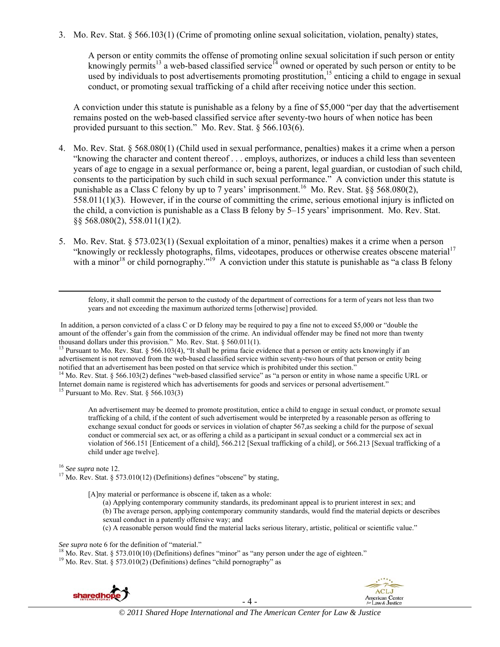3. Mo. Rev. Stat. § 566.103(1) (Crime of promoting online sexual solicitation, violation, penalty) states,

A person or entity commits the offense of promoting online sexual solicitation if such person or entity knowingly permits<sup>13</sup> a web-based classified service<sup>14</sup> owned or operated by such person or entity to be used by individuals to post advertisements promoting prostitution,  $15$  enticing a child to engage in sexual conduct, or promoting sexual trafficking of a child after receiving notice under this section.

A conviction under this statute is punishable as a felony by a fine of \$5,000 "per day that the advertisement remains posted on the web-based classified service after seventy-two hours of when notice has been provided pursuant to this section." Mo. Rev. Stat. § 566.103(6).

- 4. Mo. Rev. Stat. § 568.080(1) (Child used in sexual performance, penalties) makes it a crime when a person "knowing the character and content thereof . . . employs, authorizes, or induces a child less than seventeen years of age to engage in a sexual performance or, being a parent, legal guardian, or custodian of such child, consents to the participation by such child in such sexual performance." A conviction under this statute is punishable as a Class C felony by up to 7 years' imprisonment.<sup>16</sup> Mo. Rev. Stat. §§ 568.080(2), 558.011(1)(3). However, if in the course of committing the crime, serious emotional injury is inflicted on the child, a conviction is punishable as a Class B felony by 5–15 years' imprisonment. Mo. Rev. Stat. §§ 568.080(2), 558.011(1)(2).
- 5. Mo. Rev. Stat. § 573.023(1) (Sexual exploitation of a minor, penalties) makes it a crime when a person "knowingly or recklessly photographs, films, videotapes, produces or otherwise creates obscene material<sup>17</sup> with a minor<sup>18</sup> or child pornography."<sup>19</sup> A conviction under this statute is punishable as "a class B felony"

felony, it shall commit the person to the custody of the department of corrections for a term of years not less than two years and not exceeding the maximum authorized terms [otherwise] provided.

<u> 1989 - Johann Stein, marwolaethau a gweledydd a ganlad y ganlad y ganlad y ganlad y ganlad y ganlad y ganlad</u>

 In addition, a person convicted of a class C or D felony may be required to pay a fine not to exceed \$5,000 or "double the amount of the offender's gain from the commission of the crime. An individual offender may be fined not more than twenty thousand dollars under this provision." Mo. Rev. Stat.  $\S$  560.011(1).

<sup>13</sup> Pursuant to Mo. Rev. Stat. § 566.103(4), "It shall be prima facie evidence that a person or entity acts knowingly if an advertisement is not removed from the web-based classified service within seventy-two hours of that person or entity being notified that an advertisement has been posted on that service which is prohibited under this section."<br><sup>14</sup> Mo. Rev. Stat. § 566.103(2) defines "web-based classified service" as "a person or entity in whose name a specifi

Internet domain name is registered which has advertisements for goods and services or personal advertisement."<br><sup>15</sup> Pursuant to Mo. Rev. Stat. § 566.103(3)

An advertisement may be deemed to promote prostitution, entice a child to engage in sexual conduct, or promote sexual trafficking of a child, if the content of such advertisement would be interpreted by a reasonable person as offering to exchange sexual conduct for goods or services in violation of chapter 567, as seeking a child for the purpose of sexual conduct or commercial sex act, or as offering a child as a participant in sexual conduct or a commercial sex act in violation of 566.151 [Enticement of a child], 566.212 [Sexual trafficking of a child], or 566.213 [Sexual trafficking of a child under age twelve].

<sup>16</sup> *See supra* note 12.<br><sup>17</sup> Mo. Rev. Stat. § 573.010(12) (Definitions) defines "obscene" by stating,

[A]ny material or performance is obscene if, taken as a whole:

(a) Applying contemporary community standards, its predominant appeal is to prurient interest in sex; and (b) The average person, applying contemporary community standards, would find the material depicts or describes sexual conduct in a patently offensive way; and

(c) A reasonable person would find the material lacks serious literary, artistic, political or scientific value."

See supra note 6 for the definition of "material."<br><sup>18</sup> Mo. Rev. Stat. § 573.010(10) (Definitions) defines "minor" as "any person under the age of eighteen."<br><sup>19</sup> Mo. Rev. Stat. § 573.010(2) (Definitions) defines "child p



- 4 -

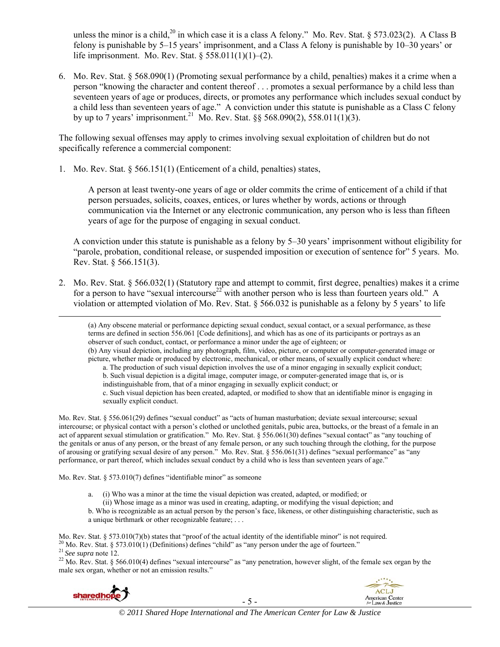unless the minor is a child,<sup>20</sup> in which case it is a class A felony." Mo. Rev. Stat. § 573.023(2). A Class B felony is punishable by 5–15 years' imprisonment, and a Class A felony is punishable by 10–30 years' or life imprisonment. Mo. Rev. Stat. § 558.011(1)(1)–(2).

6. Mo. Rev. Stat. § 568.090(1) (Promoting sexual performance by a child, penalties) makes it a crime when a person "knowing the character and content thereof . . . promotes a sexual performance by a child less than seventeen years of age or produces, directs, or promotes any performance which includes sexual conduct by a child less than seventeen years of age." A conviction under this statute is punishable as a Class C felony by up to 7 years' imprisonment.<sup>21</sup> Mo. Rev. Stat. §§ 568.090(2), 558.011(1)(3).

The following sexual offenses may apply to crimes involving sexual exploitation of children but do not specifically reference a commercial component:

1. Mo. Rev. Stat. § 566.151(1) (Enticement of a child, penalties) states,

A person at least twenty-one years of age or older commits the crime of enticement of a child if that person persuades, solicits, coaxes, entices, or lures whether by words, actions or through communication via the Internet or any electronic communication, any person who is less than fifteen years of age for the purpose of engaging in sexual conduct.

A conviction under this statute is punishable as a felony by 5–30 years' imprisonment without eligibility for "parole, probation, conditional release, or suspended imposition or execution of sentence for" 5 years. Mo. Rev. Stat. § 566.151(3).

2. Mo. Rev. Stat. § 566.032(1) (Statutory rape and attempt to commit, first degree, penalties) makes it a crime for a person to have "sexual intercourse<sup>22</sup> with another person who is less than fourteen years old." A violation or attempted violation of Mo. Rev. Stat. § 566.032 is punishable as a felony by 5 years' to life

<u> 1989 - Johann Stein, marwolaethau a gweledydd a ganlad y ganlad y ganlad y ganlad y ganlad y ganlad y ganlad</u>

(a) Any obscene material or performance depicting sexual conduct, sexual contact, or a sexual performance, as these terms are defined in section 556.061 [Code definitions], and which has as one of its participants or portrays as an observer of such conduct, contact, or performance a minor under the age of eighteen; or (b) Any visual depiction, including any photograph, film, video, picture, or computer or computer-generated image or picture, whether made or produced by electronic, mechanical, or other means, of sexually explicit conduct where: a. The production of such visual depiction involves the use of a minor engaging in sexually explicit conduct; b. Such visual depiction is a digital image, computer image, or computer-generated image that is, or is indistinguishable from, that of a minor engaging in sexually explicit conduct; or c. Such visual depiction has been created, adapted, or modified to show that an identifiable minor is engaging in sexually explicit conduct. Mo. Rev. Stat. § 556.061(29) defines "sexual conduct" as "acts of human masturbation; deviate sexual intercourse; sexual

intercourse; or physical contact with a person's clothed or unclothed genitals, pubic area, buttocks, or the breast of a female in an act of apparent sexual stimulation or gratification." Mo. Rev. Stat. § 556.061(30) defines "sexual contact" as "any touching of the genitals or anus of any person, or the breast of any female person, or any such touching through the clothing, for the purpose of arousing or gratifying sexual desire of any person." Mo. Rev. Stat. § 556.061(31) defines "sexual performance" as "any performance, or part thereof, which includes sexual conduct by a child who is less than seventeen years of age."

Mo. Rev. Stat. § 573.010(7) defines "identifiable minor" as someone

- a. (i) Who was a minor at the time the visual depiction was created, adapted, or modified; or
	- (ii) Whose image as a minor was used in creating, adapting, or modifying the visual depiction; and
- b. Who is recognizable as an actual person by the person's face, likeness, or other distinguishing characteristic, such as a unique birthmark or other recognizable feature; . . .

Mo. Rev. Stat. § 573.010(7)(b) states that "proof of the actual identity of the identifiable minor" is not required.<br><sup>20</sup> Mo. Rev. Stat. § 573.010(1) (Definitions) defines "child" as "any person under the age of fourteen.

male sex organ, whether or not an emission results."

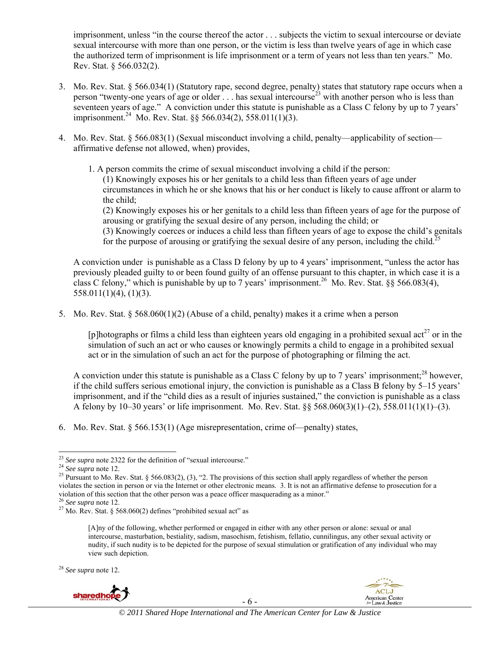imprisonment, unless "in the course thereof the actor . . . subjects the victim to sexual intercourse or deviate sexual intercourse with more than one person, or the victim is less than twelve years of age in which case the authorized term of imprisonment is life imprisonment or a term of years not less than ten years." Mo. Rev. Stat. § 566.032(2).

- 3. Mo. Rev. Stat. § 566.034(1) (Statutory rape, second degree, penalty) states that statutory rape occurs when a person "twenty-one years of age or older ... has sexual intercourse<sup>23</sup> with another person who is less than seventeen years of age." A conviction under this statute is punishable as a Class C felony by up to 7 years' imprisonment.24 Mo. Rev. Stat. §§ 566.034(2), 558.011(1)(3).
- 4. Mo. Rev. Stat. § 566.083(1) (Sexual misconduct involving a child, penalty—applicability of section affirmative defense not allowed, when) provides,
	- 1. A person commits the crime of sexual misconduct involving a child if the person:

(1) Knowingly exposes his or her genitals to a child less than fifteen years of age under circumstances in which he or she knows that his or her conduct is likely to cause affront or alarm to the child;

(2) Knowingly exposes his or her genitals to a child less than fifteen years of age for the purpose of arousing or gratifying the sexual desire of any person, including the child; or

(3) Knowingly coerces or induces a child less than fifteen years of age to expose the child's genitals for the purpose of arousing or gratifying the sexual desire of any person, including the child.<sup>2</sup>

A conviction under is punishable as a Class D felony by up to 4 years' imprisonment, "unless the actor has previously pleaded guilty to or been found guilty of an offense pursuant to this chapter, in which case it is a class C felony," which is punishable by up to 7 years' imprisonment.<sup>26</sup> Mo. Rev. Stat. §§ 566.083(4), 558.011(1)(4), (1)(3).

5. Mo. Rev. Stat. § 568.060(1)(2) (Abuse of a child, penalty) makes it a crime when a person

[p]hotographs or films a child less than eighteen years old engaging in a prohibited sexual act<sup>27</sup> or in the simulation of such an act or who causes or knowingly permits a child to engage in a prohibited sexual act or in the simulation of such an act for the purpose of photographing or filming the act.

A conviction under this statute is punishable as a Class C felony by up to 7 years' imprisonment;<sup>28</sup> however, if the child suffers serious emotional injury, the conviction is punishable as a Class B felony by 5–15 years' imprisonment, and if the "child dies as a result of injuries sustained," the conviction is punishable as a class A felony by 10–30 years' or life imprisonment. Mo. Rev. Stat. §§ 568.060(3)(1)–(2), 558.011(1)(1)–(3).

6. Mo. Rev. Stat. § 566.153(1) (Age misrepresentation, crime of—penalty) states,

<sup>28</sup> *See supra* note 12.



- 6 -



 $^{23}$  See supra note 2322 for the definition of "sexual intercourse."

<sup>&</sup>lt;sup>24</sup> See supra note 12.<br><sup>24</sup> See supra note 12.<br><sup>25</sup> Pursuant to Mo. Rev. Stat. § 566.083(2), (3), "2. The provisions of this section shall apply regardless of whether the person violates the section in person or via the Internet or other electronic means. 3. It is not an affirmative defense to prosecution for a violation of this section that the other person was a peace officer masquerading as a minor."<br><sup>26</sup> *See supra* note 12.<br><sup>27</sup> Mo. Rev. Stat. § 568.060(2) defines "prohibited sexual act" as

<sup>[</sup>A]ny of the following, whether performed or engaged in either with any other person or alone: sexual or anal intercourse, masturbation, bestiality, sadism, masochism, fetishism, fellatio, cunnilingus, any other sexual activity or nudity, if such nudity is to be depicted for the purpose of sexual stimulation or gratification of any individual who may view such depiction.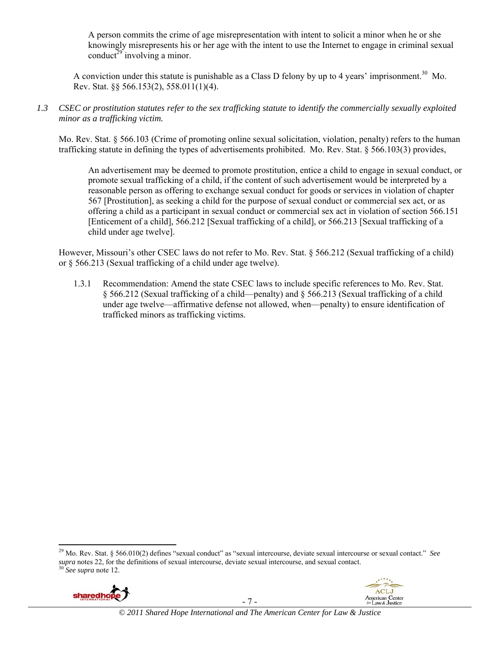A person commits the crime of age misrepresentation with intent to solicit a minor when he or she knowingly misrepresents his or her age with the intent to use the Internet to engage in criminal sexual conduct<sup>29</sup> involving a minor.

A conviction under this statute is punishable as a Class D felony by up to 4 years' imprisonment.<sup>30</sup> Mo. Rev. Stat. §§ 566.153(2), 558.011(1)(4).

*1.3 CSEC or prostitution statutes refer to the sex trafficking statute to identify the commercially sexually exploited minor as a trafficking victim.* 

Mo. Rev. Stat. § 566.103 (Crime of promoting online sexual solicitation, violation, penalty) refers to the human trafficking statute in defining the types of advertisements prohibited. Mo. Rev. Stat. § 566.103(3) provides,

An advertisement may be deemed to promote prostitution, entice a child to engage in sexual conduct, or promote sexual trafficking of a child, if the content of such advertisement would be interpreted by a reasonable person as offering to exchange sexual conduct for goods or services in violation of chapter 567 [Prostitution], as seeking a child for the purpose of sexual conduct or commercial sex act, or as offering a child as a participant in sexual conduct or commercial sex act in violation of section 566.151 [Enticement of a child], 566.212 [Sexual trafficking of a child], or 566.213 [Sexual trafficking of a child under age twelve].

However, Missouri's other CSEC laws do not refer to Mo. Rev. Stat. § 566.212 (Sexual trafficking of a child) or § 566.213 (Sexual trafficking of a child under age twelve).

1.3.1 Recommendation: Amend the state CSEC laws to include specific references to Mo. Rev. Stat. § 566.212 (Sexual trafficking of a child—penalty) and § 566.213 (Sexual trafficking of a child under age twelve—affirmative defense not allowed, when—penalty) to ensure identification of trafficked minors as trafficking victims.

<sup>29</sup> Mo. Rev. Stat. § 566.010(2) defines "sexual conduct" as "sexual intercourse, deviate sexual intercourse or sexual contact." *See supra* notes 22, for the definitions of sexual intercourse, deviate sexual intercourse, and sexual contact. 30 *See supra* note 12.



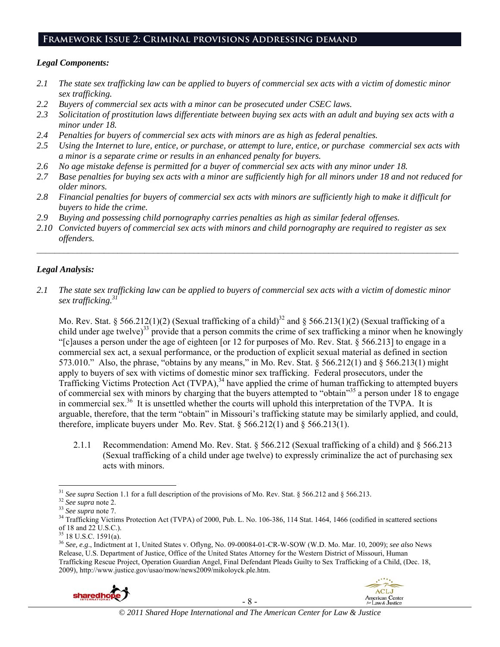# **Framework Issue 2: Criminal provisions Addressing demand**

## *Legal Components:*

- *2.1 The state sex trafficking law can be applied to buyers of commercial sex acts with a victim of domestic minor sex trafficking.*
- *2.2 Buyers of commercial sex acts with a minor can be prosecuted under CSEC laws.*
- *2.3 Solicitation of prostitution laws differentiate between buying sex acts with an adult and buying sex acts with a minor under 18.*
- *2.4 Penalties for buyers of commercial sex acts with minors are as high as federal penalties.*
- *2.5 Using the Internet to lure, entice, or purchase, or attempt to lure, entice, or purchase commercial sex acts with a minor is a separate crime or results in an enhanced penalty for buyers.*
- *2.6 No age mistake defense is permitted for a buyer of commercial sex acts with any minor under 18.*
- *2.7 Base penalties for buying sex acts with a minor are sufficiently high for all minors under 18 and not reduced for older minors.*
- *2.8 Financial penalties for buyers of commercial sex acts with minors are sufficiently high to make it difficult for buyers to hide the crime.*
- *2.9 Buying and possessing child pornography carries penalties as high as similar federal offenses.*
- *2.10 Convicted buyers of commercial sex acts with minors and child pornography are required to register as sex offenders.*

 $\mathcal{L}_\mathcal{L} = \{ \mathcal{L}_\mathcal{L} = \{ \mathcal{L}_\mathcal{L} = \{ \mathcal{L}_\mathcal{L} = \{ \mathcal{L}_\mathcal{L} = \{ \mathcal{L}_\mathcal{L} = \{ \mathcal{L}_\mathcal{L} = \{ \mathcal{L}_\mathcal{L} = \{ \mathcal{L}_\mathcal{L} = \{ \mathcal{L}_\mathcal{L} = \{ \mathcal{L}_\mathcal{L} = \{ \mathcal{L}_\mathcal{L} = \{ \mathcal{L}_\mathcal{L} = \{ \mathcal{L}_\mathcal{L} = \{ \mathcal{L}_\mathcal{$ 

# *Legal Analysis:*

*2.1 The state sex trafficking law can be applied to buyers of commercial sex acts with a victim of domestic minor sex trafficking.31*

Mo. Rev. Stat. § 566.212(1)(2) (Sexual trafficking of a child)<sup>32</sup> and § 566.213(1)(2) (Sexual trafficking of a child under age twelve)<sup>33</sup> provide that a person commits the crime of sex trafficking a minor when he knowingly "[c]auses a person under the age of eighteen [or 12 for purposes of Mo. Rev. Stat. § 566.213] to engage in a commercial sex act, a sexual performance, or the production of explicit sexual material as defined in section 573.010." Also, the phrase, "obtains by any means," in Mo. Rev. Stat. § 566.212(1) and § 566.213(1) might apply to buyers of sex with victims of domestic minor sex trafficking. Federal prosecutors, under the Trafficking Victims Protection Act (TVPA),<sup>34</sup> have applied the crime of human trafficking to attempted buyers of commercial sex with minors by charging that the buyers attempted to "obtain"35 a person under 18 to engage in commercial sex.<sup>36</sup> It is unsettled whether the courts will uphold this interpretation of the TVPA. It is arguable, therefore, that the term "obtain" in Missouri's trafficking statute may be similarly applied, and could, therefore, implicate buyers under Mo. Rev. Stat.  $\S 566.212(1)$  and  $\S 566.213(1)$ .

2.1.1 Recommendation: Amend Mo. Rev. Stat. § 566.212 (Sexual trafficking of a child) and § 566.213 (Sexual trafficking of a child under age twelve) to expressly criminalize the act of purchasing sex acts with minors.

<sup>36</sup> *See, e.g*., Indictment at 1, United States v. Oflyng, No. 09-00084-01-CR-W-SOW (W.D. Mo. Mar. 10, 2009); *see also* News Release, U.S. Department of Justice, Office of the United States Attorney for the Western District of Missouri, Human Trafficking Rescue Project, Operation Guardian Angel, Final Defendant Pleads Guilty to Sex Trafficking of a Child, (Dec. 18, 2009), http://www.justice.gov/usao/mow/news2009/mikoloyck.ple.htm.





<sup>&</sup>lt;sup>31</sup> See supra Section 1.1 for a full description of the provisions of Mo. Rev. Stat. § 566.212 and § 566.213.<br><sup>32</sup> See supra note 2.<br><sup>33</sup> See supra note 7.<br><sup>34</sup> Trafficking Victims Protection Act (TVPA) of 2000, Pub. L. of 18 and 22 U.S.C.).

 $35$  18 U.S.C. 1591(a).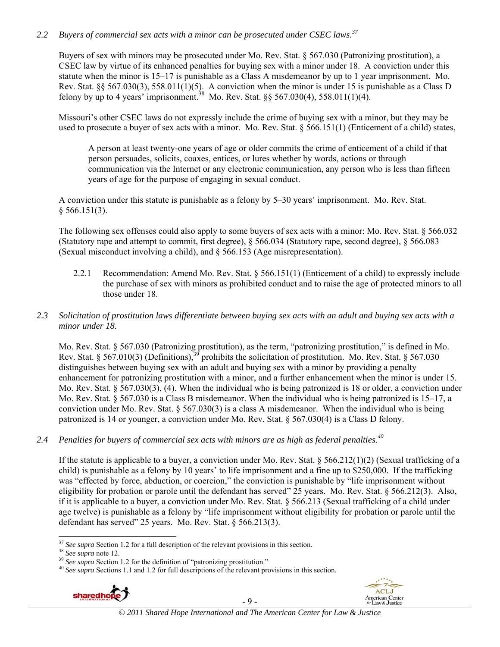# *2.2 Buyers of commercial sex acts with a minor can be prosecuted under CSEC laws.37*

Buyers of sex with minors may be prosecuted under Mo. Rev. Stat. § 567.030 (Patronizing prostitution), a CSEC law by virtue of its enhanced penalties for buying sex with a minor under 18. A conviction under this statute when the minor is 15–17 is punishable as a Class A misdemeanor by up to 1 year imprisonment. Mo. Rev. Stat. §§ 567.030(3), 558.011(1)(5). A conviction when the minor is under 15 is punishable as a Class D felony by up to 4 years' imprisonment.<sup>38</sup> Mo. Rev. Stat.  $\S$ § 567.030(4), 558.011(1)(4).

Missouri's other CSEC laws do not expressly include the crime of buying sex with a minor, but they may be used to prosecute a buyer of sex acts with a minor. Mo. Rev. Stat. § 566.151(1) (Enticement of a child) states,

A person at least twenty-one years of age or older commits the crime of enticement of a child if that person persuades, solicits, coaxes, entices, or lures whether by words, actions or through communication via the Internet or any electronic communication, any person who is less than fifteen years of age for the purpose of engaging in sexual conduct.

A conviction under this statute is punishable as a felony by 5–30 years' imprisonment. Mo. Rev. Stat.  $§$  566.151(3).

The following sex offenses could also apply to some buyers of sex acts with a minor: Mo. Rev. Stat. § 566.032 (Statutory rape and attempt to commit, first degree), § 566.034 (Statutory rape, second degree), § 566.083 (Sexual misconduct involving a child), and § 566.153 (Age misrepresentation).

- 2.2.1 Recommendation: Amend Mo. Rev. Stat. § 566.151(1) (Enticement of a child) to expressly include the purchase of sex with minors as prohibited conduct and to raise the age of protected minors to all those under 18.
- *2.3 Solicitation of prostitution laws differentiate between buying sex acts with an adult and buying sex acts with a minor under 18.*

Mo. Rev. Stat. § 567.030 (Patronizing prostitution), as the term, "patronizing prostitution," is defined in Mo. Rev. Stat. § 567.010(3) (Definitions),<sup>39</sup> prohibits the solicitation of prostitution. Mo. Rev. Stat. § 567.030 distinguishes between buying sex with an adult and buying sex with a minor by providing a penalty enhancement for patronizing prostitution with a minor, and a further enhancement when the minor is under 15. Mo. Rev. Stat. § 567.030(3), (4). When the individual who is being patronized is 18 or older, a conviction under Mo. Rev. Stat. § 567.030 is a Class B misdemeanor. When the individual who is being patronized is 15–17, a conviction under Mo. Rev. Stat. § 567.030(3) is a class A misdemeanor. When the individual who is being patronized is 14 or younger, a conviction under Mo. Rev. Stat. § 567.030(4) is a Class D felony.

*2.4 Penalties for buyers of commercial sex acts with minors are as high as federal penalties.<sup>40</sup>*

If the statute is applicable to a buyer, a conviction under Mo. Rev. Stat.  $\S 566.212(1)(2)$  (Sexual trafficking of a child) is punishable as a felony by 10 years' to life imprisonment and a fine up to \$250,000. If the trafficking was "effected by force, abduction, or coercion," the conviction is punishable by "life imprisonment without eligibility for probation or parole until the defendant has served" 25 years. Mo. Rev. Stat. § 566.212(3). Also, if it is applicable to a buyer, a conviction under Mo. Rev. Stat. § 566.213 (Sexual trafficking of a child under age twelve) is punishable as a felony by "life imprisonment without eligibility for probation or parole until the defendant has served" 25 years. Mo. Rev. Stat. § 566.213(3).

<sup>&</sup>lt;sup>38</sup> See supra note 12.<br><sup>39</sup> See supra Section 1.2 for the definition of "patronizing prostitution."<br><sup>40</sup> See supra Sections 1.1 and 1.2 for full descriptions of the relevant provisions in this section.



- 9 -



 $37$  See supra Section 1.2 for a full description of the relevant provisions in this section.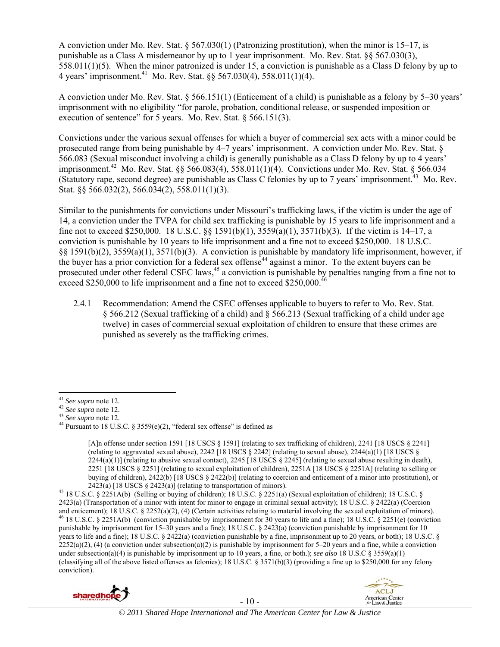A conviction under Mo. Rev. Stat. § 567.030(1) (Patronizing prostitution), when the minor is 15–17, is punishable as a Class A misdemeanor by up to 1 year imprisonment. Mo. Rev. Stat. §§ 567.030(3), 558.011(1)(5). When the minor patronized is under 15, a conviction is punishable as a Class D felony by up to 4 years' imprisonment.<sup>41</sup> Mo. Rev. Stat. §§ 567.030(4), 558.011(1)(4).

A conviction under Mo. Rev. Stat. § 566.151(1) (Enticement of a child) is punishable as a felony by 5–30 years' imprisonment with no eligibility "for parole, probation, conditional release, or suspended imposition or execution of sentence" for 5 years. Mo. Rev. Stat. § 566.151(3).

Convictions under the various sexual offenses for which a buyer of commercial sex acts with a minor could be prosecuted range from being punishable by 4–7 years' imprisonment. A conviction under Mo. Rev. Stat. § 566.083 (Sexual misconduct involving a child) is generally punishable as a Class D felony by up to 4 years' imprisonment.42 Mo. Rev. Stat. §§ 566.083(4), 558.011(1)(4). Convictions under Mo. Rev. Stat. § 566.034 (Statutory rape, second degree) are punishable as Class C felonies by up to 7 years' imprisonment.<sup>43</sup> Mo. Rev. Stat. §§ 566.032(2), 566.034(2), 558.011(1)(3).

Similar to the punishments for convictions under Missouri's trafficking laws, if the victim is under the age of 14, a conviction under the TVPA for child sex trafficking is punishable by 15 years to life imprisonment and a fine not to exceed \$250,000. 18 U.S.C. §§ 1591(b)(1), 3559(a)(1), 3571(b)(3). If the victim is 14–17, a conviction is punishable by 10 years to life imprisonment and a fine not to exceed \$250,000. 18 U.S.C. §§ 1591(b)(2), 3559(a)(1), 3571(b)(3). A conviction is punishable by mandatory life imprisonment, however, if the buyer has a prior conviction for a federal sex offense<sup>44</sup> against a minor. To the extent buyers can be prosecuted under other federal CSEC laws,<sup>45</sup> a conviction is punishable by penalties ranging from a fine not to exceed \$250,000 to life imprisonment and a fine not to exceed \$250,000.<sup>46</sup>

2.4.1 Recommendation: Amend the CSEC offenses applicable to buyers to refer to Mo. Rev. Stat. § 566.212 (Sexual trafficking of a child) and § 566.213 (Sexual trafficking of a child under age twelve) in cases of commercial sexual exploitation of children to ensure that these crimes are punished as severely as the trafficking crimes.

<sup>&</sup>lt;sup>45</sup> 18 U.S.C. § 2251A(b) (Selling or buying of children); 18 U.S.C. § 2251(a) (Sexual exploitation of children); 18 U.S.C. § 2423(a) (Transportation of a minor with intent for minor to engage in criminal sexual activity); 18 U.S.C. § 2422(a) (Coercion and enticement); 18 U.S.C. § 2252(a)(2), (4) (Certain activities relating to material involving the sexual exploitation of minors).<br><sup>46</sup> 18 U.S.C. § 2251A(b) (conviction punishable by imprisonment for 30 years to life and punishable by imprisonment for 15–30 years and a fine); 18 U.S.C.  $\S$  2423(a) (conviction punishable by imprisonment for 10 years to life and a fine); 18 U.S.C. § 2422(a) (conviction punishable by a fine, imprisonment up to 20 years, or both); 18 U.S.C. §  $2252(a)(2)$ , (4) (a conviction under subsection(a)(2) is punishable by imprisonment for 5–20 years and a fine, while a conviction under subsection(a)(4) is punishable by imprisonment up to 10 years, a fine, or both.); *see also* 18 U.S.C § 3559(a)(1) (classifying all of the above listed offenses as felonies); 18 U.S.C. § 3571(b)(3) (providing a fine up to \$250,000 for any felony conviction).





<sup>&</sup>lt;sup>41</sup> *See supra* note 12.<br><sup>42</sup> *See supra* note 12.<br><sup>43</sup> *See supra* note 12.<br><sup>44</sup> Pursuant to 18 U.S.C. § 3559(e)(2), "federal sex offense" is defined as

<sup>[</sup>A]n offense under section 1591 [18 USCS § 1591] (relating to sex trafficking of children), 2241 [18 USCS § 2241] (relating to aggravated sexual abuse),  $2242$  [18 USCS § 2242] (relating to sexual abuse),  $2244(a)(1)$  [18 USCS §  $2244(a)(1)$  (relating to abusive sexual contact),  $2245$  [18 USCS § 2245] (relating to sexual abuse resulting in death), 2251 [18 USCS § 2251] (relating to sexual exploitation of children), 2251A [18 USCS § 2251A] (relating to selling or buying of children), 2422(b) [18 USCS § 2422(b)] (relating to coercion and enticement of a minor into prostitution), or 2423(a) [18 USCS § 2423(a)] (relating to transportation of minors).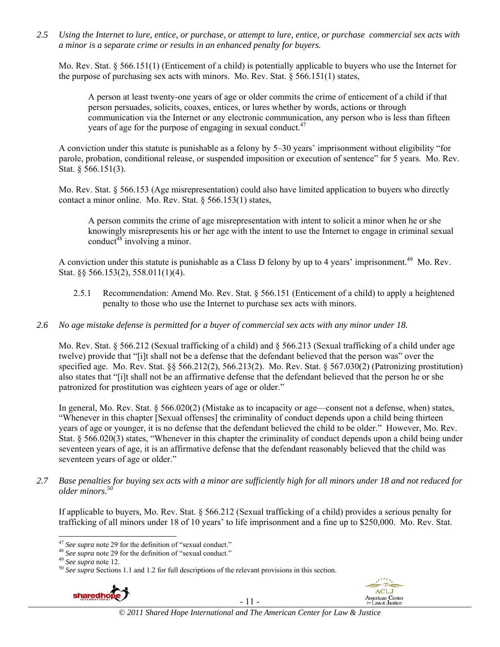*2.5 Using the Internet to lure, entice, or purchase, or attempt to lure, entice, or purchase commercial sex acts with a minor is a separate crime or results in an enhanced penalty for buyers.* 

Mo. Rev. Stat. § 566.151(1) (Enticement of a child) is potentially applicable to buyers who use the Internet for the purpose of purchasing sex acts with minors. Mo. Rev. Stat. § 566.151(1) states,

A person at least twenty-one years of age or older commits the crime of enticement of a child if that person persuades, solicits, coaxes, entices, or lures whether by words, actions or through communication via the Internet or any electronic communication, any person who is less than fifteen years of age for the purpose of engaging in sexual conduct.<sup>47</sup>

A conviction under this statute is punishable as a felony by 5–30 years' imprisonment without eligibility "for parole, probation, conditional release, or suspended imposition or execution of sentence" for 5 years. Mo. Rev. Stat. § 566.151(3).

Mo. Rev. Stat. § 566.153 (Age misrepresentation) could also have limited application to buyers who directly contact a minor online. Mo. Rev. Stat. § 566.153(1) states,

A person commits the crime of age misrepresentation with intent to solicit a minor when he or she knowingly misrepresents his or her age with the intent to use the Internet to engage in criminal sexual conduct $48$  involving a minor.

A conviction under this statute is punishable as a Class D felony by up to 4 years' imprisonment.<sup>49</sup> Mo. Rev. Stat. §§ 566.153(2), 558.011(1)(4).

- 2.5.1 Recommendation: Amend Mo. Rev. Stat. § 566.151 (Enticement of a child) to apply a heightened penalty to those who use the Internet to purchase sex acts with minors.
- *2.6 No age mistake defense is permitted for a buyer of commercial sex acts with any minor under 18.*

Mo. Rev. Stat. § 566.212 (Sexual trafficking of a child) and § 566.213 (Sexual trafficking of a child under age twelve) provide that "[i]t shall not be a defense that the defendant believed that the person was" over the specified age. Mo. Rev. Stat. §§ 566.212(2), 566.213(2). Mo. Rev. Stat. § 567.030(2) (Patronizing prostitution) also states that "[i]t shall not be an affirmative defense that the defendant believed that the person he or she patronized for prostitution was eighteen years of age or older."

In general, Mo. Rev. Stat. § 566.020(2) (Mistake as to incapacity or age—consent not a defense, when) states, "Whenever in this chapter [Sexual offenses] the criminality of conduct depends upon a child being thirteen years of age or younger, it is no defense that the defendant believed the child to be older." However, Mo. Rev. Stat. § 566.020(3) states, "Whenever in this chapter the criminality of conduct depends upon a child being under seventeen years of age, it is an affirmative defense that the defendant reasonably believed that the child was seventeen years of age or older."

*2.7 Base penalties for buying sex acts with a minor are sufficiently high for all minors under 18 and not reduced for older minors.50* 

If applicable to buyers, Mo. Rev. Stat. § 566.212 (Sexual trafficking of a child) provides a serious penalty for trafficking of all minors under 18 of 10 years' to life imprisonment and a fine up to \$250,000. Mo. Rev. Stat.

<sup>&</sup>lt;sup>48</sup> See supra note 29 for the definition of "sexual conduct."<br><sup>49</sup> See supra note 12.<br><sup>50</sup> See supra Sections 1.1 and 1.2 for full descriptions of the relevant provisions in this section.



- 11 -



 $47$  See supra note 29 for the definition of "sexual conduct."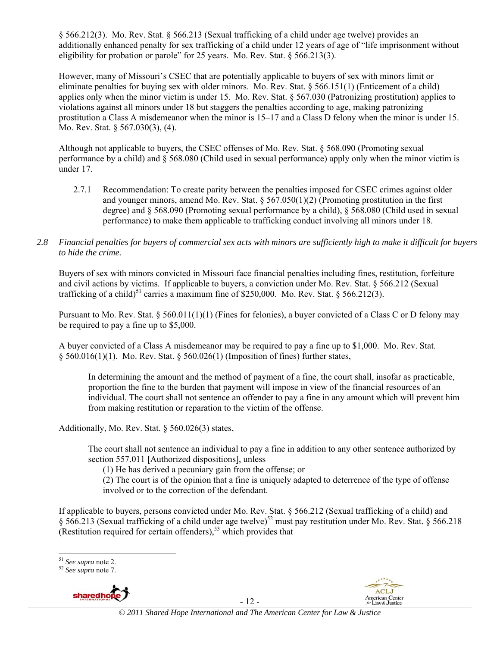§ 566.212(3). Mo. Rev. Stat. § 566.213 (Sexual trafficking of a child under age twelve) provides an additionally enhanced penalty for sex trafficking of a child under 12 years of age of "life imprisonment without eligibility for probation or parole" for 25 years. Mo. Rev. Stat. § 566.213(3).

However, many of Missouri's CSEC that are potentially applicable to buyers of sex with minors limit or eliminate penalties for buying sex with older minors. Mo. Rev. Stat. § 566.151(1) (Enticement of a child) applies only when the minor victim is under 15. Mo. Rev. Stat. § 567.030 (Patronizing prostitution) applies to violations against all minors under 18 but staggers the penalties according to age, making patronizing prostitution a Class A misdemeanor when the minor is 15–17 and a Class D felony when the minor is under 15. Mo. Rev. Stat. § 567.030(3), (4).

Although not applicable to buyers, the CSEC offenses of Mo. Rev. Stat. § 568.090 (Promoting sexual performance by a child) and § 568.080 (Child used in sexual performance) apply only when the minor victim is under 17.

- 2.7.1 Recommendation: To create parity between the penalties imposed for CSEC crimes against older and younger minors, amend Mo. Rev. Stat.  $\S 567.050(1)(2)$  (Promoting prostitution in the first degree) and § 568.090 (Promoting sexual performance by a child), § 568.080 (Child used in sexual performance) to make them applicable to trafficking conduct involving all minors under 18.
- *2.8 Financial penalties for buyers of commercial sex acts with minors are sufficiently high to make it difficult for buyers to hide the crime.*

Buyers of sex with minors convicted in Missouri face financial penalties including fines, restitution, forfeiture and civil actions by victims. If applicable to buyers, a conviction under Mo. Rev. Stat. § 566.212 (Sexual trafficking of a child)<sup>51</sup> carries a maximum fine of \$250,000. Mo. Rev. Stat. § 566.212(3).

Pursuant to Mo. Rev. Stat. § 560.011(1)(1) (Fines for felonies), a buyer convicted of a Class C or D felony may be required to pay a fine up to \$5,000.

A buyer convicted of a Class A misdemeanor may be required to pay a fine up to \$1,000. Mo. Rev. Stat.  $§$  560.016(1)(1). Mo. Rev. Stat. § 560.026(1) (Imposition of fines) further states,

In determining the amount and the method of payment of a fine, the court shall, insofar as practicable, proportion the fine to the burden that payment will impose in view of the financial resources of an individual. The court shall not sentence an offender to pay a fine in any amount which will prevent him from making restitution or reparation to the victim of the offense.

Additionally, Mo. Rev. Stat. § 560.026(3) states,

The court shall not sentence an individual to pay a fine in addition to any other sentence authorized by section 557.011 [Authorized dispositions], unless

(1) He has derived a pecuniary gain from the offense; or

(2) The court is of the opinion that a fine is uniquely adapted to deterrence of the type of offense involved or to the correction of the defendant.

If applicable to buyers, persons convicted under Mo. Rev. Stat. § 566.212 (Sexual trafficking of a child) and § 566.213 (Sexual trafficking of a child under age twelve)<sup>52</sup> must pay restitution under Mo. Rev. Stat. § 566.218 (Restitution required for certain offenders),<sup>53</sup> which provides that

<sup>51</sup> *See supra* note 2. 52 *See supra* note 7.



- 12 -

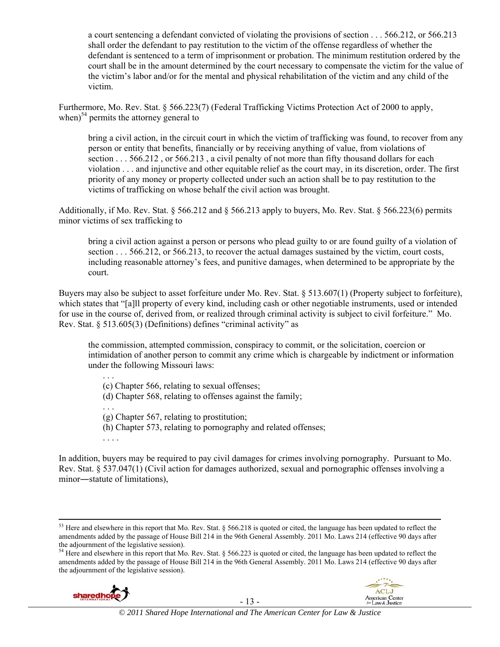a court sentencing a defendant convicted of violating the provisions of section . . . 566.212, or 566.213 shall order the defendant to pay restitution to the victim of the offense regardless of whether the defendant is sentenced to a term of imprisonment or probation. The minimum restitution ordered by the court shall be in the amount determined by the court necessary to compensate the victim for the value of the victim's labor and/or for the mental and physical rehabilitation of the victim and any child of the victim.

Furthermore, Mo. Rev. Stat. § 566.223(7) (Federal Trafficking Victims Protection Act of 2000 to apply, when) $54$  permits the attorney general to

bring a civil action, in the circuit court in which the victim of trafficking was found, to recover from any person or entity that benefits, financially or by receiving anything of value, from violations of section . . . 566.212 , or 566.213 , a civil penalty of not more than fifty thousand dollars for each violation . . . and injunctive and other equitable relief as the court may, in its discretion, order. The first priority of any money or property collected under such an action shall be to pay restitution to the victims of trafficking on whose behalf the civil action was brought.

Additionally, if Mo. Rev. Stat. § 566.212 and § 566.213 apply to buyers, Mo. Rev. Stat. § 566.223(6) permits minor victims of sex trafficking to

bring a civil action against a person or persons who plead guilty to or are found guilty of a violation of section . . . 566.212, or 566.213, to recover the actual damages sustained by the victim, court costs, including reasonable attorney's fees, and punitive damages, when determined to be appropriate by the court.

Buyers may also be subject to asset forfeiture under Mo. Rev. Stat. § 513.607(1) (Property subject to forfeiture), which states that "[a]ll property of every kind, including cash or other negotiable instruments, used or intended for use in the course of, derived from, or realized through criminal activity is subject to civil forfeiture." Mo. Rev. Stat. § 513.605(3) (Definitions) defines "criminal activity" as

the commission, attempted commission, conspiracy to commit, or the solicitation, coercion or intimidation of another person to commit any crime which is chargeable by indictment or information under the following Missouri laws:

. . . (c) Chapter 566, relating to sexual offenses; (d) Chapter 568, relating to offenses against the family; . . . (g) Chapter 567, relating to prostitution; (h) Chapter 573, relating to pornography and related offenses; . . . .

In addition, buyers may be required to pay civil damages for crimes involving pornography. Pursuant to Mo. Rev. Stat. § 537.047(1) (Civil action for damages authorized, sexual and pornographic offenses involving a minor―statute of limitations),

<sup>&</sup>lt;sup>54</sup> Here and elsewhere in this report that Mo. Rev. Stat. § 566.223 is quoted or cited, the language has been updated to reflect the amendments added by the passage of House Bill 214 in the 96th General Assembly. 2011 Mo. Laws 214 (effective 90 days after the adjournment of the legislative session).





<sup>&</sup>lt;sup>53</sup> Here and elsewhere in this report that Mo. Rev. Stat. § 566.218 is quoted or cited, the language has been updated to reflect the amendments added by the passage of House Bill 214 in the 96th General Assembly. 2011 Mo. Laws 214 (effective 90 days after the adjournment of the legislative session).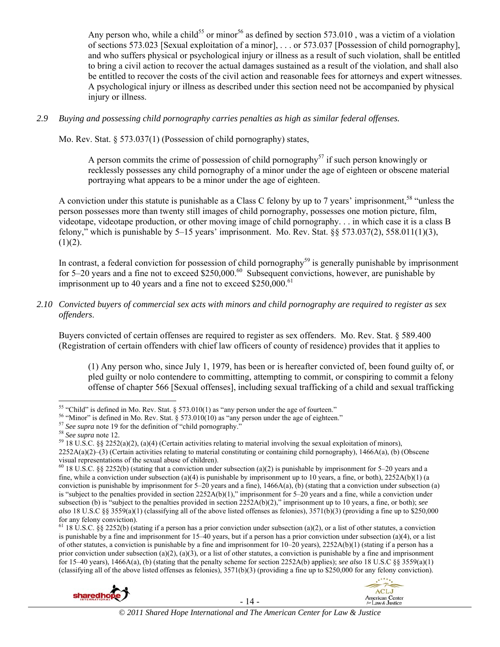Any person who, while a child<sup>55</sup> or minor<sup>56</sup> as defined by section 573.010, was a victim of a violation of sections 573.023 [Sexual exploitation of a minor], . . . or 573.037 [Possession of child pornography], and who suffers physical or psychological injury or illness as a result of such violation, shall be entitled to bring a civil action to recover the actual damages sustained as a result of the violation, and shall also be entitled to recover the costs of the civil action and reasonable fees for attorneys and expert witnesses. A psychological injury or illness as described under this section need not be accompanied by physical injury or illness.

## *2.9 Buying and possessing child pornography carries penalties as high as similar federal offenses.*

Mo. Rev. Stat. § 573.037(1) (Possession of child pornography) states,

A person commits the crime of possession of child pornography<sup>57</sup> if such person knowingly or recklessly possesses any child pornography of a minor under the age of eighteen or obscene material portraying what appears to be a minor under the age of eighteen.

A conviction under this statute is punishable as a Class C felony by up to 7 years' imprisonment,<sup>58</sup> "unless the person possesses more than twenty still images of child pornography, possesses one motion picture, film, videotape, videotape production, or other moving image of child pornography. . . in which case it is a class B felony," which is punishable by  $5-15$  years' imprisonment. Mo. Rev. Stat. §§ 573.037(2), 558.011(1)(3),  $(1)(2)$ .

In contrast, a federal conviction for possession of child pornography<sup>59</sup> is generally punishable by imprisonment for 5–20 years and a fine not to exceed \$250,000.<sup>60</sup> Subsequent convictions, however, are punishable by imprisonment up to 40 years and a fine not to exceed  $$250,000$ .<sup>61</sup>

*2.10 Convicted buyers of commercial sex acts with minors and child pornography are required to register as sex offenders*.

Buyers convicted of certain offenses are required to register as sex offenders. Mo. Rev. Stat. § 589.400 (Registration of certain offenders with chief law officers of county of residence) provides that it applies to

(1) Any person who, since July 1, 1979, has been or is hereafter convicted of, been found guilty of, or pled guilty or nolo contendere to committing, attempting to commit, or conspiring to commit a felony offense of chapter 566 [Sexual offenses], including sexual trafficking of a child and sexual trafficking

<sup>&</sup>lt;sup>61</sup> 18 U.S.C. §§ 2252(b) (stating if a person has a prior conviction under subsection (a)(2), or a list of other statutes, a conviction is punishable by a fine and imprisonment for  $15-40$  years, but if a person has a prior conviction under subsection (a)(4), or a list of other statutes, a conviction is punishable by a fine and imprisonment for  $10-20$  years),  $2252A(b)(1)$  (stating if a person has a prior conviction under subsection (a)(2), (a)(3), or a list of other statutes, a conviction is punishable by a fine and imprisonment for 15–40 years), 1466A(a), (b) (stating that the penalty scheme for section 2252A(b) applies); *see also* 18 U.S.C §§ 3559(a)(1) (classifying all of the above listed offenses as felonies), 3571(b)(3) (providing a fine up to \$250,000 for any felony conviction).





<sup>&</sup>lt;sup>55</sup> "Child" is defined in Mo. Rev. Stat. § 573.010(1) as "any person under the age of fourteen."

<sup>&</sup>lt;sup>56</sup> "Minor" is defined in Mo. Rev. Stat. § 573.010(10) as "any person under the age of eighteen."<br><sup>57</sup> See supra note 19 for the definition of "child pornography."<br><sup>58</sup> See supra note 12.<br><sup>59</sup> 18 U.S.C. §§ 2252(a)(2), (a

 $2252A(a)(2)$ –(3) (Certain activities relating to material constituting or containing child pornography), 1466A(a), (b) (Obscene visual representations of the sexual abuse of children).

<sup>&</sup>lt;sup>60</sup> 18 U.S.C. §§ 2252(b) (stating that a conviction under subsection (a)(2) is punishable by imprisonment for 5–20 years and a fine, while a conviction under subsection (a)(4) is punishable by imprisonment up to 10 years, a fine, or both),  $2252A(b)(1)$  (a conviction is punishable by imprisonment for  $5-20$  years and a fine),  $1466A(a)$ , (b) (stating that a conviction under subsection (a) is "subject to the penalties provided in section 2252A(b)(1)," imprisonment for 5–20 years and a fine, while a conviction under subsection (b) is "subject to the penalties provided in section 2252A(b)(2)," imprisonment up to 10 years, a fine, or both); *see also* 18 U.S.C §§ 3559(a)(1) (classifying all of the above listed offenses as felonies), 3571(b)(3) (providing a fine up to \$250,000 for any felony conviction).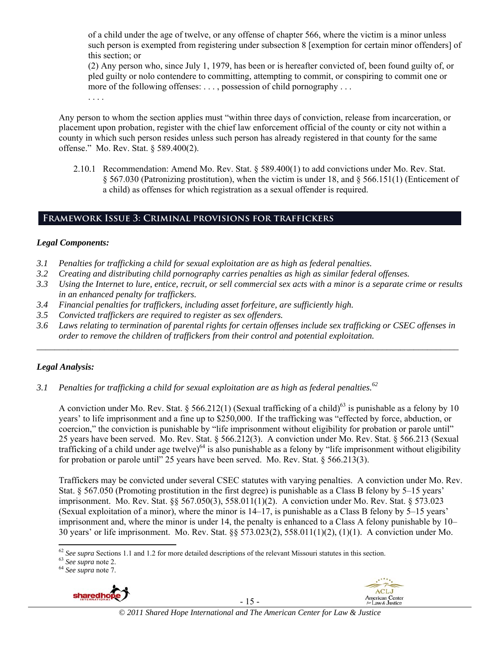of a child under the age of twelve, or any offense of chapter 566, where the victim is a minor unless such person is exempted from registering under subsection 8 [exemption for certain minor offenders] of this section; or

(2) Any person who, since July 1, 1979, has been or is hereafter convicted of, been found guilty of, or pled guilty or nolo contendere to committing, attempting to commit, or conspiring to commit one or more of the following offenses: . . . , possession of child pornography . . .

. . . .

Any person to whom the section applies must "within three days of conviction, release from incarceration, or placement upon probation, register with the chief law enforcement official of the county or city not within a county in which such person resides unless such person has already registered in that county for the same offense." Mo. Rev. Stat. § 589.400(2).

2.10.1 Recommendation: Amend Mo. Rev. Stat. § 589.400(1) to add convictions under Mo. Rev. Stat. § 567.030 (Patronizing prostitution), when the victim is under 18, and § 566.151(1) (Enticement of a child) as offenses for which registration as a sexual offender is required.

# **Framework Issue 3: Criminal provisions for traffickers**

## *Legal Components:*

- *3.1 Penalties for trafficking a child for sexual exploitation are as high as federal penalties.*
- *3.2 Creating and distributing child pornography carries penalties as high as similar federal offenses.*
- *3.3 Using the Internet to lure, entice, recruit, or sell commercial sex acts with a minor is a separate crime or results in an enhanced penalty for traffickers.*
- *3.4 Financial penalties for traffickers, including asset forfeiture, are sufficiently high.*
- *3.5 Convicted traffickers are required to register as sex offenders.*
- *3.6 Laws relating to termination of parental rights for certain offenses include sex trafficking or CSEC offenses in order to remove the children of traffickers from their control and potential exploitation.*

*\_\_\_\_\_\_\_\_\_\_\_\_\_\_\_\_\_\_\_\_\_\_\_\_\_\_\_\_\_\_\_\_\_\_\_\_\_\_\_\_\_\_\_\_\_\_\_\_\_\_\_\_\_\_\_\_\_\_\_\_\_\_\_\_\_\_\_\_\_\_\_\_\_\_\_\_\_\_\_\_\_\_\_\_\_\_\_\_\_\_\_\_\_\_* 

# *Legal Analysis:*

*3.1 Penalties for trafficking a child for sexual exploitation are as high as federal penalties.62* 

A conviction under Mo. Rev. Stat. § 566.212(1) (Sexual trafficking of a child)<sup>63</sup> is punishable as a felony by 10 years' to life imprisonment and a fine up to \$250,000. If the trafficking was "effected by force, abduction, or coercion," the conviction is punishable by "life imprisonment without eligibility for probation or parole until" 25 years have been served. Mo. Rev. Stat. § 566.212(3). A conviction under Mo. Rev. Stat. § 566.213 (Sexual trafficking of a child under age twelve)<sup>64</sup> is also punishable as a felony by "life imprisonment without eligibility for probation or parole until" 25 years have been served. Mo. Rev. Stat. § 566.213(3).

Traffickers may be convicted under several CSEC statutes with varying penalties. A conviction under Mo. Rev. Stat. § 567.050 (Promoting prostitution in the first degree) is punishable as a Class B felony by 5–15 years' imprisonment. Mo. Rev. Stat. §§ 567.050(3), 558.011(1)(2). A conviction under Mo. Rev. Stat. § 573.023 (Sexual exploitation of a minor), where the minor is 14–17, is punishable as a Class B felony by 5–15 years' imprisonment and, where the minor is under 14, the penalty is enhanced to a Class A felony punishable by 10– 30 years' or life imprisonment. Mo. Rev. Stat. §§ 573.023(2), 558.011(1)(2), (1)(1). A conviction under Mo.



- 15 -



 <sup>62</sup> *See supra* Sections 1.1 and 1.2 for more detailed descriptions of the relevant Missouri statutes in this section. 63 *See supra* note 2. 64 *See supra* note 7.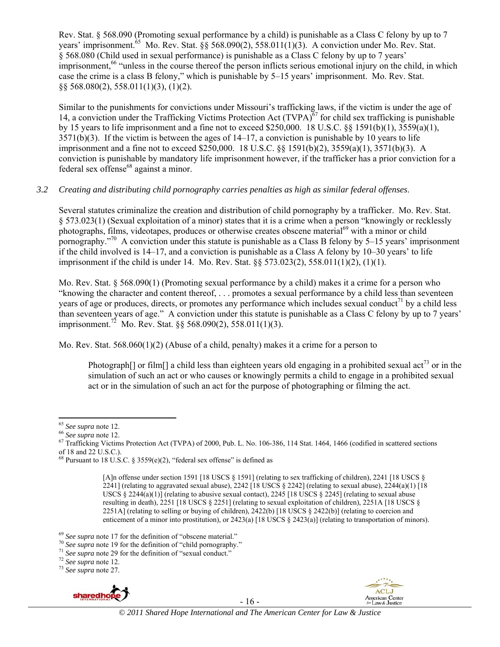Rev. Stat. § 568.090 (Promoting sexual performance by a child) is punishable as a Class C felony by up to 7 vears' imprisonment.<sup> $65$ </sup> Mo. Rev. Stat.  $\hat{8}\hat{8}$  568.090(2), 558.011(1)(3). A conviction under Mo. Rev. Stat. § 568.080 (Child used in sexual performance) is punishable as a Class C felony by up to 7 years' imprisonment,<sup>66</sup> "unless in the course thereof the person inflicts serious emotional injury on the child, in which case the crime is a class B felony," which is punishable by 5–15 years' imprisonment. Mo. Rev. Stat. §§ 568.080(2), 558.011(1)(3), (1)(2).

Similar to the punishments for convictions under Missouri's trafficking laws, if the victim is under the age of 14, a conviction under the Trafficking Victims Protection Act  $(TVPA)^{67}$  for child sex trafficking is punishable by 15 years to life imprisonment and a fine not to exceed \$250,000. 18 U.S.C. §§ 1591(b)(1), 3559(a)(1),  $3571(b)(3)$ . If the victim is between the ages of  $14-17$ , a conviction is punishable by 10 years to life imprisonment and a fine not to exceed \$250,000. 18 U.S.C. §§ 1591(b)(2), 3559(a)(1), 3571(b)(3). A conviction is punishable by mandatory life imprisonment however, if the trafficker has a prior conviction for a federal sex offense<sup>68</sup> against a minor.

## *3.2 Creating and distributing child pornography carries penalties as high as similar federal offenses*.

Several statutes criminalize the creation and distribution of child pornography by a trafficker. Mo. Rev. Stat. § 573.023(1) (Sexual exploitation of a minor) states that it is a crime when a person "knowingly or recklessly photographs, films, videotapes, produces or otherwise creates obscene material<sup>69</sup> with a minor or child pornography."70 A conviction under this statute is punishable as a Class B felony by 5–15 years' imprisonment if the child involved is 14–17, and a conviction is punishable as a Class A felony by 10–30 years' to life imprisonment if the child is under 14. Mo. Rev. Stat. §§ 573.023(2), 558.011(1)(2), (1)(1).

Mo. Rev. Stat. § 568.090(1) (Promoting sexual performance by a child) makes it a crime for a person who "knowing the character and content thereof, . . . promotes a sexual performance by a child less than seventeen years of age or produces, directs, or promotes any performance which includes sexual conduct<sup>71</sup> by a child less than seventeen years of age." A conviction under this statute is punishable as a Class C felony by up to 7 years' imprisonment.<sup>72</sup> Mo. Rev. Stat. §§ 568.090(2), 558.011(1)(3).

Mo. Rev. Stat.  $568.060(1)(2)$  (Abuse of a child, penalty) makes it a crime for a person to

Photograph<sup>[]</sup> or film<sup>[]</sup> a child less than eighteen years old engaging in a prohibited sexual act<sup>73</sup> or in the simulation of such an act or who causes or knowingly permits a child to engage in a prohibited sexual act or in the simulation of such an act for the purpose of photographing or filming the act.



- 16 -



<sup>&</sup>lt;sup>65</sup> *See supra* note 12.<br><sup>66</sup> *See supra* note 12.<br><sup>67</sup> Trafficking Victims Protection Act (TVPA) of 2000, Pub. L. No. 106-386, 114 Stat. 1464, 1466 (codified in scattered sections of 18 and 22 U.S.C.).

<sup>&</sup>lt;sup>68</sup> Pursuant to 18 U.S.C. § 3559 $(e)(2)$ , "federal sex offense" is defined as

<sup>[</sup>A]n offense under section 1591 [18 USCS § 1591] (relating to sex trafficking of children), 2241 [18 USCS §  $2241$ ] (relating to aggravated sexual abuse),  $2242$  [18 USCS § 2242] (relating to sexual abuse),  $2244(a)(1)$  [18 USCS § 2244(a)(1)] (relating to abusive sexual contact), 2245 [18 USCS § 2245] (relating to sexual abuse resulting in death), 2251 [18 USCS § 2251] (relating to sexual exploitation of children), 2251A [18 USCS § 2251A] (relating to selling or buying of children),  $2422(b)$  [18 USCS § 2422(b)] (relating to coercion and enticement of a minor into prostitution), or  $2423(a)$  [18 USCS §  $2423(a)$ ] (relating to transportation of minors).

<sup>&</sup>lt;sup>69</sup> See supra note 17 for the definition of "obscene material."<br><sup>70</sup> See supra note 19 for the definition of "child pornography."<br><sup>71</sup> See supra note 29 for the definition of "sexual conduct."<br><sup>72</sup> See supra note 12.<br><sup>73</sup>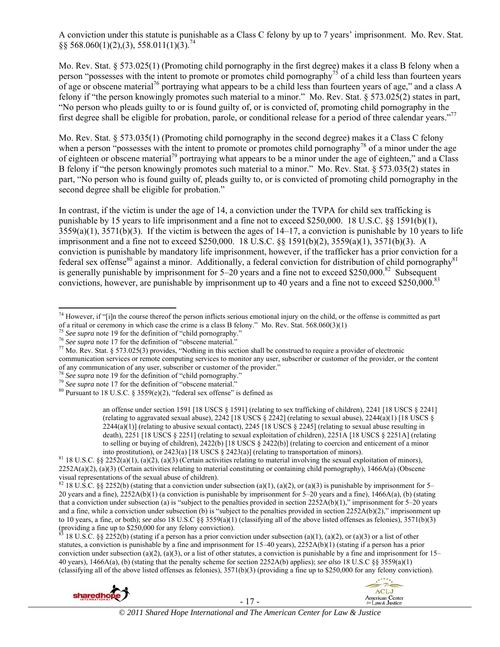A conviction under this statute is punishable as a Class C felony by up to 7 years' imprisonment. Mo. Rev. Stat.  $§$ § 568.060(1)(2),(3), 558.011(1)(3).<sup>74</sup>

Mo. Rev. Stat. § 573.025(1) (Promoting child pornography in the first degree) makes it a class B felony when a person "possesses with the intent to promote or promotes child pornography<sup>75</sup> of a child less than fourteen years of age or obscene material<sup>76</sup> portraying what appears to be a child less than fourteen years of age," and a class A felony if "the person knowingly promotes such material to a minor." Mo. Rev. Stat. § 573.025(2) states in part, "No person who pleads guilty to or is found guilty of, or is convicted of, promoting child pornography in the first degree shall be eligible for probation, parole, or conditional release for a period of three calendar years."77

Mo. Rev. Stat. § 573.035(1) (Promoting child pornography in the second degree) makes it a Class C felony when a person "possesses with the intent to promote or promotes child pornography<sup>78</sup> of a minor under the age of eighteen or obscene material<sup>79</sup> portraying what appears to be a minor under the age of eighteen," and a Class B felony if "the person knowingly promotes such material to a minor." Mo. Rev. Stat. § 573.035(2) states in part, "No person who is found guilty of, pleads guilty to, or is convicted of promoting child pornography in the second degree shall be eligible for probation."

In contrast, if the victim is under the age of 14, a conviction under the TVPA for child sex trafficking is punishable by 15 years to life imprisonment and a fine not to exceed \$250,000. 18 U.S.C. §§ 1591(b)(1),  $3559(a)(1)$ ,  $3571(b)(3)$ . If the victim is between the ages of  $14-17$ , a conviction is punishable by 10 years to life imprisonment and a fine not to exceed \$250,000. 18 U.S.C. §§ 1591(b)(2), 3559(a)(1), 3571(b)(3). A conviction is punishable by mandatory life imprisonment, however, if the trafficker has a prior conviction for a federal sex offense<sup>80</sup> against a minor. Additionally, a federal conviction for distribution of child pornography<sup>81</sup> is generally punishable by imprisonment for  $5-20$  years and a fine not to exceed \$250,000.<sup>82</sup> Subsequent convictions, however, are punishable by imprisonment up to 40 years and a fine not to exceed \$250,000.<sup>83</sup>

an offense under section 1591 [18 USCS § 1591] (relating to sex trafficking of children), 2241 [18 USCS § 2241] (relating to aggravated sexual abuse),  $2242$  [18 USCS § 2242] (relating to sexual abuse),  $2244(a)(1)$  [18 USCS §  $2244(a)(1)$  (relating to abusive sexual contact),  $2245$  [18 USCS § 2245] (relating to sexual abuse resulting in death), 2251 [18 USCS § 2251] (relating to sexual exploitation of children), 2251A [18 USCS § 2251A] (relating to selling or buying of children),  $2422(b)$  [18 USCS § 2422(b)] (relating to coercion and enticement of a minor into prostitution), or  $2423(a)$  [18 USCS § 2423(a)] (relating to transportation of minors).

18 U.S.C. §§ 2252(b) (stating if a person has a prior conviction under subsection (a)(1), (a)(2), or (a)(3) or a list of other statutes, a conviction is punishable by a fine and imprisonment for  $15-40$  years),  $2252A(b)(1)$  (stating if a person has a prior conviction under subsection (a)(2), (a)(3), or a list of other statutes, a conviction is punishable by a fine and imprisonment for  $15-$ 40 years), 1466A(a), (b) (stating that the penalty scheme for section 2252A(b) applies); *see also* 18 U.S.C §§ 3559(a)(1) (classifying all of the above listed offenses as felonies), 3571(b)(3) (providing a fine up to \$250,000 for any felony conviction).





  $74$  However, if "[i]n the course thereof the person inflicts serious emotional injury on the child, or the offense is committed as part

of a ritual or ceremony in which case the crime is a class B felony." Mo. Rev. Stat. 568.060(3)(1)<br>
<sup>75</sup> See supra note 19 for the definition of "child pornography."<br>
<sup>75</sup> See supra note 17 for the definition of "obscene

communication services or remote computing services to monitor any user, subscriber or customer of the provider, or the content of any communication of any user, subscriber or customer of the provider."

<sup>&</sup>lt;sup>78</sup> See supra note 19 for the definition of "child pornography."<br>
<sup>79</sup> See supra note 19 for the definition of "child pornography."<br>
<sup>79</sup> See supra note 17 for the definition of "obscene material."<br>
<sup>80</sup> Pursuant to 18 U

<sup>&</sup>lt;sup>81</sup> 18 U.S.C. §§ 2252(a)(1), (a)(2), (a)(3) (Certain activities relating to material involving the sexual exploitation of minors), 2252A(a)(2), (a)(3) (Certain activities relating to material constituting or containing child pornography), 1466A(a) (Obscene visual representations of the sexual abuse of children).

<sup>82 18</sup> U.S.C. §§ 2252(b) (stating that a conviction under subsection (a)(1), (a)(2), or (a)(3) is punishable by imprisonment for 5– 20 years and a fine), 2252A(b)(1) (a conviction is punishable by imprisonment for 5–20 years and a fine), 1466A(a), (b) (stating that a conviction under subsection (a) is "subject to the penalties provided in section  $2252A(b)(1)$ ," imprisonment for 5–20 years and a fine, while a conviction under subsection (b) is "subject to the penalties provided in section  $2252A(b)(2)$ ," imprisonment up to 10 years, a fine, or both); *see also* 18 U.S.C §§ 3559(a)(1) (classifying all of the above listed offenses as felonies), 3571(b)(3) (providing a fine up to \$250,000 for any felony conviction).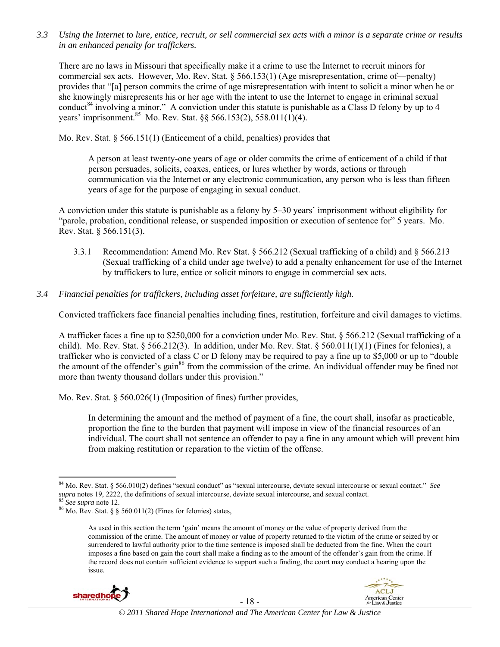*3.3 Using the Internet to lure, entice, recruit, or sell commercial sex acts with a minor is a separate crime or results in an enhanced penalty for traffickers.* 

There are no laws in Missouri that specifically make it a crime to use the Internet to recruit minors for commercial sex acts. However, Mo. Rev. Stat. § 566.153(1) (Age misrepresentation, crime of—penalty) provides that "[a] person commits the crime of age misrepresentation with intent to solicit a minor when he or she knowingly misrepresents his or her age with the intent to use the Internet to engage in criminal sexual conduct<sup>84</sup> involving a minor." A conviction under this statute is punishable as a Class D felony by up to 4 years' imprisonment.<sup>85</sup> Mo. Rev. Stat. §§ 566.153(2), 558.011(1)(4).

Mo. Rev. Stat. § 566.151(1) (Enticement of a child, penalties) provides that

A person at least twenty-one years of age or older commits the crime of enticement of a child if that person persuades, solicits, coaxes, entices, or lures whether by words, actions or through communication via the Internet or any electronic communication, any person who is less than fifteen years of age for the purpose of engaging in sexual conduct.

A conviction under this statute is punishable as a felony by 5–30 years' imprisonment without eligibility for "parole, probation, conditional release, or suspended imposition or execution of sentence for" 5 years. Mo. Rev. Stat. § 566.151(3).

- 3.3.1 Recommendation: Amend Mo. Rev Stat. § 566.212 (Sexual trafficking of a child) and § 566.213 (Sexual trafficking of a child under age twelve) to add a penalty enhancement for use of the Internet by traffickers to lure, entice or solicit minors to engage in commercial sex acts.
- *3.4 Financial penalties for traffickers, including asset forfeiture, are sufficiently high*.

Convicted traffickers face financial penalties including fines, restitution, forfeiture and civil damages to victims.

A trafficker faces a fine up to \$250,000 for a conviction under Mo. Rev. Stat. § 566.212 (Sexual trafficking of a child). Mo. Rev. Stat. § 566.212(3). In addition, under Mo. Rev. Stat. § 560.011(1)(1) (Fines for felonies), a trafficker who is convicted of a class C or D felony may be required to pay a fine up to \$5,000 or up to "double the amount of the offender's gain<sup>86</sup> from the commission of the crime. An individual offender may be fined not more than twenty thousand dollars under this provision."

Mo. Rev. Stat. § 560.026(1) (Imposition of fines) further provides,

In determining the amount and the method of payment of a fine, the court shall, insofar as practicable, proportion the fine to the burden that payment will impose in view of the financial resources of an individual. The court shall not sentence an offender to pay a fine in any amount which will prevent him from making restitution or reparation to the victim of the offense.

As used in this section the term 'gain' means the amount of money or the value of property derived from the commission of the crime. The amount of money or value of property returned to the victim of the crime or seized by or surrendered to lawful authority prior to the time sentence is imposed shall be deducted from the fine. When the court imposes a fine based on gain the court shall make a finding as to the amount of the offender's gain from the crime. If the record does not contain sufficient evidence to support such a finding, the court may conduct a hearing upon the issue.





 84 Mo. Rev. Stat. § 566.010(2) defines "sexual conduct" as "sexual intercourse, deviate sexual intercourse or sexual contact." *See supra* notes 19, 2222, the definitions of sexual intercourse, deviate sexual intercourse, and sexual contact. <sup>85</sup> *See supra* note 12. <sup>86</sup> Mo. Rev. Stat. § § 560.011(2) (Fines for felonies) states,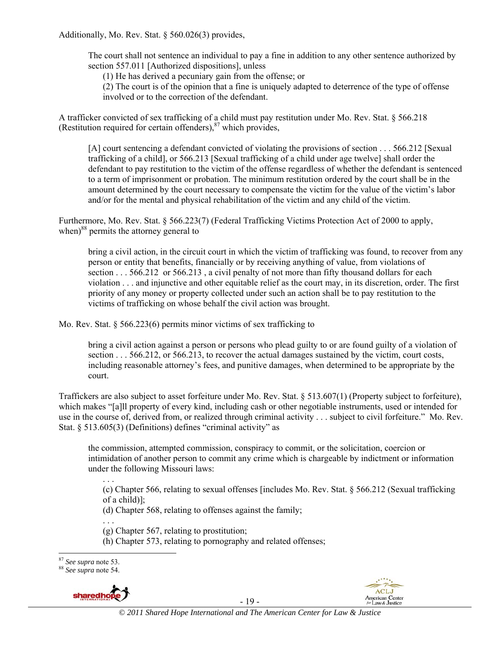Additionally, Mo. Rev. Stat. § 560.026(3) provides,

The court shall not sentence an individual to pay a fine in addition to any other sentence authorized by section 557.011 [Authorized dispositions], unless

(1) He has derived a pecuniary gain from the offense; or

(2) The court is of the opinion that a fine is uniquely adapted to deterrence of the type of offense involved or to the correction of the defendant.

A trafficker convicted of sex trafficking of a child must pay restitution under Mo. Rev. Stat. § 566.218 (Restitution required for certain offenders), $87$  which provides,

[A] court sentencing a defendant convicted of violating the provisions of section . . . 566.212 [Sexual trafficking of a child], or 566.213 [Sexual trafficking of a child under age twelve] shall order the defendant to pay restitution to the victim of the offense regardless of whether the defendant is sentenced to a term of imprisonment or probation. The minimum restitution ordered by the court shall be in the amount determined by the court necessary to compensate the victim for the value of the victim's labor and/or for the mental and physical rehabilitation of the victim and any child of the victim.

Furthermore, Mo. Rev. Stat. § 566.223(7) (Federal Trafficking Victims Protection Act of 2000 to apply, when) $88$  permits the attorney general to

bring a civil action, in the circuit court in which the victim of trafficking was found, to recover from any person or entity that benefits, financially or by receiving anything of value, from violations of section . . . 566.212 or 566.213, a civil penalty of not more than fifty thousand dollars for each violation . . . and injunctive and other equitable relief as the court may, in its discretion, order. The first priority of any money or property collected under such an action shall be to pay restitution to the victims of trafficking on whose behalf the civil action was brought.

Mo. Rev. Stat. § 566.223(6) permits minor victims of sex trafficking to

bring a civil action against a person or persons who plead guilty to or are found guilty of a violation of section . . . 566.212, or 566.213, to recover the actual damages sustained by the victim, court costs, including reasonable attorney's fees, and punitive damages, when determined to be appropriate by the court.

Traffickers are also subject to asset forfeiture under Mo. Rev. Stat. § 513.607(1) (Property subject to forfeiture), which makes "[a]ll property of every kind, including cash or other negotiable instruments, used or intended for use in the course of, derived from, or realized through criminal activity . . . subject to civil forfeiture." Mo. Rev. Stat. § 513.605(3) (Definitions) defines "criminal activity" as

the commission, attempted commission, conspiracy to commit, or the solicitation, coercion or intimidation of another person to commit any crime which is chargeable by indictment or information under the following Missouri laws:

(c) Chapter 566, relating to sexual offenses [includes Mo. Rev. Stat. § 566.212 (Sexual trafficking of a child)];

(d) Chapter 568, relating to offenses against the family;

. . . (g) Chapter 567, relating to prostitution;

(h) Chapter 573, relating to pornography and related offenses;

<sup>87</sup> *See supra* note 53. 88 *See supra* note 54.



. . .

- 19 -

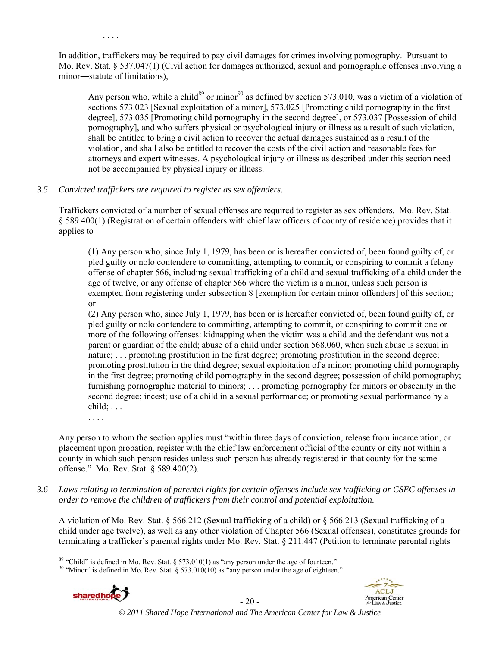In addition, traffickers may be required to pay civil damages for crimes involving pornography. Pursuant to Mo. Rev. Stat. § 537.047(1) (Civil action for damages authorized, sexual and pornographic offenses involving a minor―statute of limitations),

Any person who, while a child<sup>89</sup> or minor<sup>90</sup> as defined by section 573.010, was a victim of a violation of sections 573.023 [Sexual exploitation of a minor], 573.025 [Promoting child pornography in the first degree], 573.035 [Promoting child pornography in the second degree], or 573.037 [Possession of child pornography], and who suffers physical or psychological injury or illness as a result of such violation, shall be entitled to bring a civil action to recover the actual damages sustained as a result of the violation, and shall also be entitled to recover the costs of the civil action and reasonable fees for attorneys and expert witnesses. A psychological injury or illness as described under this section need not be accompanied by physical injury or illness.

#### *3.5 Convicted traffickers are required to register as sex offenders.*

Traffickers convicted of a number of sexual offenses are required to register as sex offenders. Mo. Rev. Stat. § 589.400(1) (Registration of certain offenders with chief law officers of county of residence) provides that it applies to

(1) Any person who, since July 1, 1979, has been or is hereafter convicted of, been found guilty of, or pled guilty or nolo contendere to committing, attempting to commit, or conspiring to commit a felony offense of chapter 566, including sexual trafficking of a child and sexual trafficking of a child under the age of twelve, or any offense of chapter 566 where the victim is a minor, unless such person is exempted from registering under subsection 8 [exemption for certain minor offenders] of this section; or

(2) Any person who, since July 1, 1979, has been or is hereafter convicted of, been found guilty of, or pled guilty or nolo contendere to committing, attempting to commit, or conspiring to commit one or more of the following offenses: kidnapping when the victim was a child and the defendant was not a parent or guardian of the child; abuse of a child under section 568.060, when such abuse is sexual in nature; ... promoting prostitution in the first degree; promoting prostitution in the second degree; promoting prostitution in the third degree; sexual exploitation of a minor; promoting child pornography in the first degree; promoting child pornography in the second degree; possession of child pornography; furnishing pornographic material to minors; . . . promoting pornography for minors or obscenity in the second degree; incest; use of a child in a sexual performance; or promoting sexual performance by a  $child; \ldots$ 

. . . .

Any person to whom the section applies must "within three days of conviction, release from incarceration, or placement upon probation, register with the chief law enforcement official of the county or city not within a county in which such person resides unless such person has already registered in that county for the same offense." Mo. Rev. Stat. § 589.400(2).

*3.6 Laws relating to termination of parental rights for certain offenses include sex trafficking or CSEC offenses in order to remove the children of traffickers from their control and potential exploitation.*

A violation of Mo. Rev. Stat. § 566.212 (Sexual trafficking of a child) or § 566.213 (Sexual trafficking of a child under age twelve), as well as any other violation of Chapter 566 (Sexual offenses), constitutes grounds for terminating a trafficker's parental rights under Mo. Rev. Stat. § 211.447 (Petition to terminate parental rights

<sup>&</sup>lt;sup>90</sup> "Minor" is defined in Mo. Rev. Stat. § 573.010(10) as "any person under the age of eighteen."



- 20 -



 $89$  "Child" is defined in Mo. Rev. Stat. § 573.010(1) as "any person under the age of fourteen."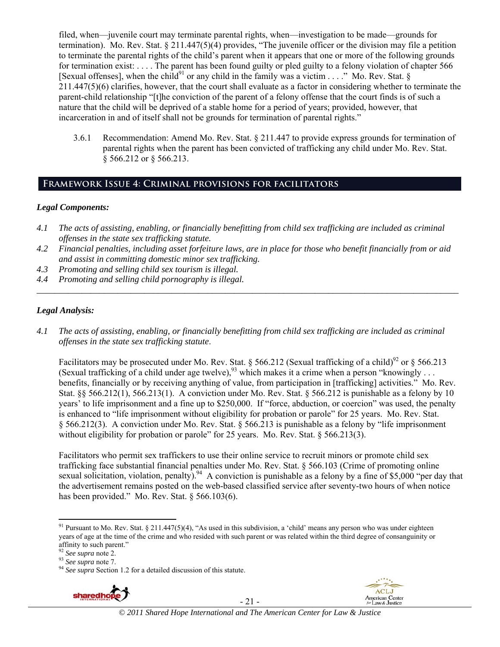filed, when—juvenile court may terminate parental rights, when—investigation to be made—grounds for termination). Mo. Rev. Stat. § 211.447(5)(4) provides, "The juvenile officer or the division may file a petition to terminate the parental rights of the child's parent when it appears that one or more of the following grounds for termination exist: . . . . The parent has been found guilty or pled guilty to a felony violation of chapter 566 [Sexual offenses], when the child<sup>91</sup> or any child in the family was a victim . . . ." Mo. Rev. Stat. § 211.447(5)(6) clarifies, however, that the court shall evaluate as a factor in considering whether to terminate the parent-child relationship "[t]he conviction of the parent of a felony offense that the court finds is of such a nature that the child will be deprived of a stable home for a period of years; provided, however, that incarceration in and of itself shall not be grounds for termination of parental rights."

3.6.1 Recommendation: Amend Mo. Rev. Stat. § 211.447 to provide express grounds for termination of parental rights when the parent has been convicted of trafficking any child under Mo. Rev. Stat. § 566.212 or § 566.213.

# **Framework Issue 4: Criminal provisions for facilitators**

#### *Legal Components:*

- *4.1 The acts of assisting, enabling, or financially benefitting from child sex trafficking are included as criminal offenses in the state sex trafficking statute.*
- *4.2 Financial penalties, including asset forfeiture laws, are in place for those who benefit financially from or aid and assist in committing domestic minor sex trafficking.*
- *4.3 Promoting and selling child sex tourism is illegal.*
- *4.4 Promoting and selling child pornography is illegal. \_\_\_\_\_\_\_\_\_\_\_\_\_\_\_\_\_\_\_\_\_\_\_\_\_\_\_\_\_\_\_\_\_\_\_\_\_\_\_\_\_\_\_\_\_\_\_\_\_\_\_\_\_\_\_\_\_\_\_\_\_\_\_\_\_\_\_\_\_\_\_\_\_\_\_\_\_\_\_\_\_\_\_\_\_\_\_\_\_\_\_\_\_\_*

## *Legal Analysis:*

*4.1 The acts of assisting, enabling, or financially benefitting from child sex trafficking are included as criminal offenses in the state sex trafficking statute*.

Facilitators may be prosecuted under Mo. Rev. Stat. § 566.212 (Sexual trafficking of a child)<sup>92</sup> or § 566.213 (Sexual trafficking of a child under age twelve),  $^{93}$  which makes it a crime when a person "knowingly ... benefits, financially or by receiving anything of value, from participation in [trafficking] activities." Mo. Rev. Stat. §§ 566.212(1), 566.213(1). A conviction under Mo. Rev. Stat. § 566.212 is punishable as a felony by 10 years' to life imprisonment and a fine up to \$250,000. If "force, abduction, or coercion" was used, the penalty is enhanced to "life imprisonment without eligibility for probation or parole" for 25 years. Mo. Rev. Stat. § 566.212(3). A conviction under Mo. Rev. Stat. § 566.213 is punishable as a felony by "life imprisonment without eligibility for probation or parole" for 25 years. Mo. Rev. Stat.  $\S$  566.213(3).

Facilitators who permit sex traffickers to use their online service to recruit minors or promote child sex trafficking face substantial financial penalties under Mo. Rev. Stat. § 566.103 (Crime of promoting online sexual solicitation, violation, penalty).<sup>94</sup> A conviction is punishable as a felony by a fine of \$5,000 "per day that the advertisement remains posted on the web-based classified service after seventy-two hours of when notice has been provided." Mo. Rev. Stat. § 566.103(6).

<sup>&</sup>lt;sup>93</sup> *See supra* note 7.<br><sup>94</sup> *See supra* Section 1.2 for a detailed discussion of this statute.



- 21 -



 <sup>91</sup> Pursuant to Mo. Rev. Stat. § 211.447(5)(4), "As used in this subdivision, a 'child' means any person who was under eighteen years of age at the time of the crime and who resided with such parent or was related within the third degree of consanguinity or affinity to such parent."<br><sup>92</sup> See supra note 2.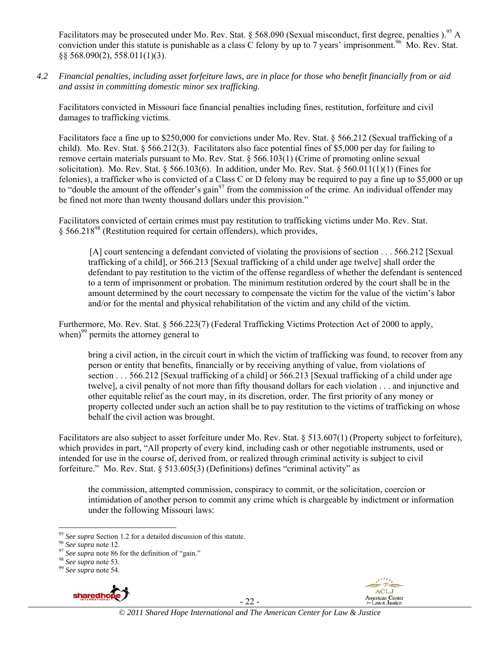Facilitators may be prosecuted under Mo. Rev. Stat. § 568.090 (Sexual misconduct, first degree, penalties ).<sup>95</sup> A conviction under this statute is punishable as a class C felony by up to 7 years' imprisonment.<sup>96</sup> Mo. Rev. Stat. §§ 568.090(2), 558.011(1)(3).

*4.2 Financial penalties, including asset forfeiture laws, are in place for those who benefit financially from or aid and assist in committing domestic minor sex trafficking.* 

Facilitators convicted in Missouri face financial penalties including fines, restitution, forfeiture and civil damages to trafficking victims.

Facilitators face a fine up to \$250,000 for convictions under Mo. Rev. Stat. § 566.212 (Sexual trafficking of a child). Mo. Rev. Stat.  $\S 566.212(3)$ . Facilitators also face potential fines of \$5,000 per day for failing to remove certain materials pursuant to Mo. Rev. Stat. § 566.103(1) (Crime of promoting online sexual solicitation). Mo. Rev. Stat. § 566.103(6). In addition, under Mo. Rev. Stat. § 560.011(1)(1) (Fines for felonies), a trafficker who is convicted of a Class C or D felony may be required to pay a fine up to \$5,000 or up to "double the amount of the offender's gain<sup>97</sup> from the commission of the crime. An individual offender may be fined not more than twenty thousand dollars under this provision."

Facilitators convicted of certain crimes must pay restitution to trafficking victims under Mo. Rev. Stat. § 566.21898 (Restitution required for certain offenders), which provides,

[A] court sentencing a defendant convicted of violating the provisions of section . . . 566.212 [Sexual trafficking of a child], or 566.213 [Sexual trafficking of a child under age twelve] shall order the defendant to pay restitution to the victim of the offense regardless of whether the defendant is sentenced to a term of imprisonment or probation. The minimum restitution ordered by the court shall be in the amount determined by the court necessary to compensate the victim for the value of the victim's labor and/or for the mental and physical rehabilitation of the victim and any child of the victim.

Furthermore, Mo. Rev. Stat. § 566.223(7) (Federal Trafficking Victims Protection Act of 2000 to apply, when) $^{99}$  permits the attorney general to

bring a civil action, in the circuit court in which the victim of trafficking was found, to recover from any person or entity that benefits, financially or by receiving anything of value, from violations of section . . . 566.212 [Sexual trafficking of a child] or 566.213 [Sexual trafficking of a child under age twelve], a civil penalty of not more than fifty thousand dollars for each violation . . . and injunctive and other equitable relief as the court may, in its discretion, order. The first priority of any money or property collected under such an action shall be to pay restitution to the victims of trafficking on whose behalf the civil action was brought.

Facilitators are also subject to asset forfeiture under Mo. Rev. Stat. § 513.607(1) (Property subject to forfeiture), which provides in part, "All property of every kind, including cash or other negotiable instruments, used or intended for use in the course of, derived from, or realized through criminal activity is subject to civil forfeiture." Mo. Rev. Stat. § 513.605(3) (Definitions) defines "criminal activity" as

the commission, attempted commission, conspiracy to commit, or the solicitation, coercion or intimidation of another person to commit any crime which is chargeable by indictment or information under the following Missouri laws:



- 22 -



 <sup>95</sup> *See supra* Section 1.2 for a detailed discussion of this statute.<br><sup>96</sup> *See supra* note 12.<br><sup>97</sup> *See supra* note 86 for the definition of "gain."<br><sup>98</sup> *See supra* note 53.<br><sup>99</sup> *See supra* note 54.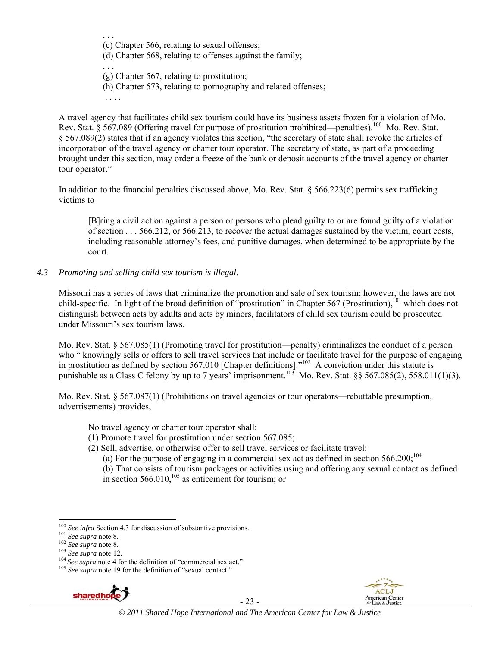. . . (c) Chapter 566, relating to sexual offenses;

(d) Chapter 568, relating to offenses against the family;

- . . . (g) Chapter 567, relating to prostitution;
- (h) Chapter 573, relating to pornography and related offenses;

. . . .

A travel agency that facilitates child sex tourism could have its business assets frozen for a violation of Mo. Rev. Stat. § 567.089 (Offering travel for purpose of prostitution prohibited—penalties).<sup>100</sup> Mo. Rev. Stat. § 567.089(2) states that if an agency violates this section, "the secretary of state shall revoke the articles of incorporation of the travel agency or charter tour operator. The secretary of state, as part of a proceeding brought under this section, may order a freeze of the bank or deposit accounts of the travel agency or charter tour operator."

In addition to the financial penalties discussed above, Mo. Rev. Stat. § 566.223(6) permits sex trafficking victims to

[B]ring a civil action against a person or persons who plead guilty to or are found guilty of a violation of section . . . 566.212, or 566.213, to recover the actual damages sustained by the victim, court costs, including reasonable attorney's fees, and punitive damages, when determined to be appropriate by the court.

*4.3 Promoting and selling child sex tourism is illegal*.

Missouri has a series of laws that criminalize the promotion and sale of sex tourism; however, the laws are not child-specific. In light of the broad definition of "prostitution" in Chapter 567 (Prostitution),<sup>101</sup> which does not distinguish between acts by adults and acts by minors, facilitators of child sex tourism could be prosecuted under Missouri's sex tourism laws.

Mo. Rev. Stat. § 567.085(1) (Promoting travel for prostitution—penalty) criminalizes the conduct of a person who " knowingly sells or offers to sell travel services that include or facilitate travel for the purpose of engaging in prostitution as defined by section 567.010 [Chapter definitions]."<sup>102</sup> A conviction under this statute is punishable as a Class C felony by up to 7 years' imprisonment.<sup>103</sup> Mo. Rev. Stat. §§ 567.085(2), 558.011(1)(3).

Mo. Rev. Stat. § 567.087(1) (Prohibitions on travel agencies or tour operators—rebuttable presumption, advertisements) provides,

No travel agency or charter tour operator shall:

- (1) Promote travel for prostitution under section 567.085;
- (2) Sell, advertise, or otherwise offer to sell travel services or facilitate travel:

(a) For the purpose of engaging in a commercial sex act as defined in section  $566.200$ ;<sup>104</sup>

(b) That consists of tourism packages or activities using and offering any sexual contact as defined in section  $566.010$ ,<sup>105</sup> as enticement for tourism; or



- 23 -



<sup>&</sup>lt;sup>100</sup> See infra Section 4.3 for discussion of substantive provisions.<br><sup>101</sup> See supra note 8.<br><sup>102</sup> See supra note 8.<br><sup>103</sup> See supra note 12.<br><sup>104</sup> See supra note 4 for the definition of "commercial sex act."<br><sup>105</sup> See s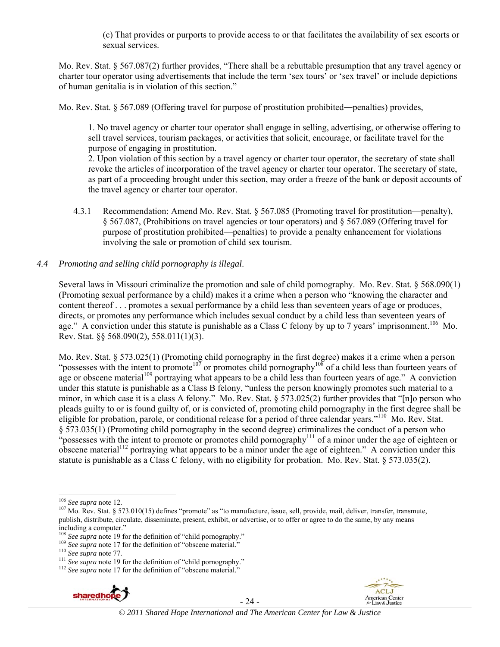(c) That provides or purports to provide access to or that facilitates the availability of sex escorts or sexual services.

Mo. Rev. Stat. § 567.087(2) further provides, "There shall be a rebuttable presumption that any travel agency or charter tour operator using advertisements that include the term 'sex tours' or 'sex travel' or include depictions of human genitalia is in violation of this section."

Mo. Rev. Stat. § 567.089 (Offering travel for purpose of prostitution prohibited—penalties) provides,

1. No travel agency or charter tour operator shall engage in selling, advertising, or otherwise offering to sell travel services, tourism packages, or activities that solicit, encourage, or facilitate travel for the purpose of engaging in prostitution.

2. Upon violation of this section by a travel agency or charter tour operator, the secretary of state shall revoke the articles of incorporation of the travel agency or charter tour operator. The secretary of state, as part of a proceeding brought under this section, may order a freeze of the bank or deposit accounts of the travel agency or charter tour operator.

4.3.1 Recommendation: Amend Mo. Rev. Stat. § 567.085 (Promoting travel for prostitution—penalty), § 567.087, (Prohibitions on travel agencies or tour operators) and § 567.089 (Offering travel for purpose of prostitution prohibited—penalties) to provide a penalty enhancement for violations involving the sale or promotion of child sex tourism.

## *4.4 Promoting and selling child pornography is illegal*.

Several laws in Missouri criminalize the promotion and sale of child pornography. Mo. Rev. Stat. § 568.090(1) (Promoting sexual performance by a child) makes it a crime when a person who "knowing the character and content thereof . . . promotes a sexual performance by a child less than seventeen years of age or produces, directs, or promotes any performance which includes sexual conduct by a child less than seventeen years of age." A conviction under this statute is punishable as a Class C felony by up to 7 years' imprisonment.<sup>106</sup> Mo. Rev. Stat. §§ 568.090(2), 558.011(1)(3).

Mo. Rev. Stat. § 573.025(1) (Promoting child pornography in the first degree) makes it a crime when a person "possesses with the intent to promote<sup>107</sup> or promotes child pornography<sup>108</sup> of a child less than fourteen years of age or obscene material<sup>109</sup> portraying what appears to be a child less than fourteen years of age." A conviction under this statute is punishable as a Class B felony, "unless the person knowingly promotes such material to a minor, in which case it is a class A felony." Mo. Rev. Stat. § 573.025(2) further provides that "[n]o person who pleads guilty to or is found guilty of, or is convicted of, promoting child pornography in the first degree shall be eligible for probation, parole, or conditional release for a period of three calendar years."110 Mo. Rev. Stat. § 573.035(1) (Promoting child pornography in the second degree) criminalizes the conduct of a person who "possesses with the intent to promote or promotes child pornography<sup>111</sup> of a minor under the age of eighteen or obscene material<sup>112</sup> portraying what appears to be a minor under the age of eighteen." A conviction under this statute is punishable as a Class C felony, with no eligibility for probation. Mo. Rev. Stat. § 573.035(2).



- 24 -



<sup>&</sup>lt;sup>106</sup> See supra note 12.<br><sup>107</sup> Mo. Rev. Stat. § 573.010(15) defines "promote" as "to manufacture, issue, sell, provide, mail, deliver, transfer, transmute, publish, distribute, circulate, disseminate, present, exhibit, or advertise, or to offer or agree to do the same, by any means including a computer."<br> $\frac{108}{2}$  See supra note 19 for the definition of "child pornography."

<sup>&</sup>lt;sup>109</sup> See supra note 17 for the definition of "obscene material."<br><sup>110</sup> See supra note 77.<br><sup>111</sup> See supra note 19 for the definition of "child pornography."<br><sup>112</sup> See supra note 17 for the definition of "obscene material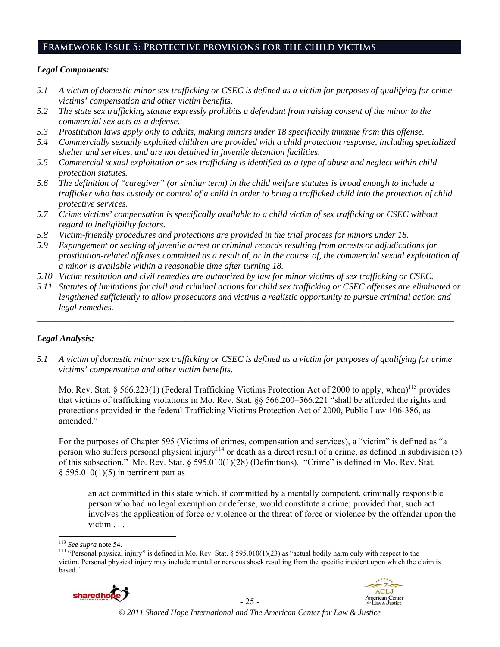# **Framework Issue 5: Protective provisions for the child victims**

## *Legal Components:*

- *5.1 A victim of domestic minor sex trafficking or CSEC is defined as a victim for purposes of qualifying for crime victims' compensation and other victim benefits.*
- *5.2 The state sex trafficking statute expressly prohibits a defendant from raising consent of the minor to the commercial sex acts as a defense.*
- *5.3 Prostitution laws apply only to adults, making minors under 18 specifically immune from this offense.*
- *5.4 Commercially sexually exploited children are provided with a child protection response, including specialized shelter and services, and are not detained in juvenile detention facilities.*
- *5.5 Commercial sexual exploitation or sex trafficking is identified as a type of abuse and neglect within child protection statutes.*
- *5.6 The definition of "caregiver" (or similar term) in the child welfare statutes is broad enough to include a trafficker who has custody or control of a child in order to bring a trafficked child into the protection of child protective services.*
- *5.7 Crime victims' compensation is specifically available to a child victim of sex trafficking or CSEC without regard to ineligibility factors.*
- *5.8 Victim-friendly procedures and protections are provided in the trial process for minors under 18.*
- *5.9 Expungement or sealing of juvenile arrest or criminal records resulting from arrests or adjudications for prostitution-related offenses committed as a result of, or in the course of, the commercial sexual exploitation of a minor is available within a reasonable time after turning 18.*
- *5.10 Victim restitution and civil remedies are authorized by law for minor victims of sex trafficking or CSEC.*
- *5.11 Statutes of limitations for civil and criminal actions for child sex trafficking or CSEC offenses are eliminated or lengthened sufficiently to allow prosecutors and victims a realistic opportunity to pursue criminal action and legal remedies.*

*\_\_\_\_\_\_\_\_\_\_\_\_\_\_\_\_\_\_\_\_\_\_\_\_\_\_\_\_\_\_\_\_\_\_\_\_\_\_\_\_\_\_\_\_\_\_\_\_\_\_\_\_\_\_\_\_\_\_\_\_\_\_\_\_\_\_\_\_\_\_\_\_\_\_\_\_\_\_\_\_\_\_\_\_\_\_\_\_\_\_\_\_\_* 

# *Legal Analysis:*

*5.1 A victim of domestic minor sex trafficking or CSEC is defined as a victim for purposes of qualifying for crime victims' compensation and other victim benefits.* 

Mo. Rev. Stat. § 566.223(1) (Federal Trafficking Victims Protection Act of 2000 to apply, when)<sup>113</sup> provides that victims of trafficking violations in Mo. Rev. Stat. §§ 566.200–566.221 "shall be afforded the rights and protections provided in the federal Trafficking Victims Protection Act of 2000, Public Law 106-386, as amended."

For the purposes of Chapter 595 (Victims of crimes, compensation and services), a "victim" is defined as "a person who suffers personal physical injury<sup>114</sup> or death as a direct result of a crime, as defined in subdivision  $(5)$ of this subsection." Mo. Rev. Stat. § 595.010(1)(28) (Definitions). "Crime" is defined in Mo. Rev. Stat.  $§$  595.010(1)(5) in pertinent part as

an act committed in this state which, if committed by a mentally competent, criminally responsible person who had no legal exemption or defense, would constitute a crime; provided that, such act involves the application of force or violence or the threat of force or violence by the offender upon the victim . . . .

<sup>&</sup>lt;sup>114</sup> "Personal physical injury" is defined in Mo. Rev. Stat. § 595.010(1)(23) as "actual bodily harm only with respect to the victim. Personal physical injury may include mental or nervous shock resulting from the specific incident upon which the claim is based."



- 25 -



<sup>&</sup>lt;sup>113</sup> See supra note 54.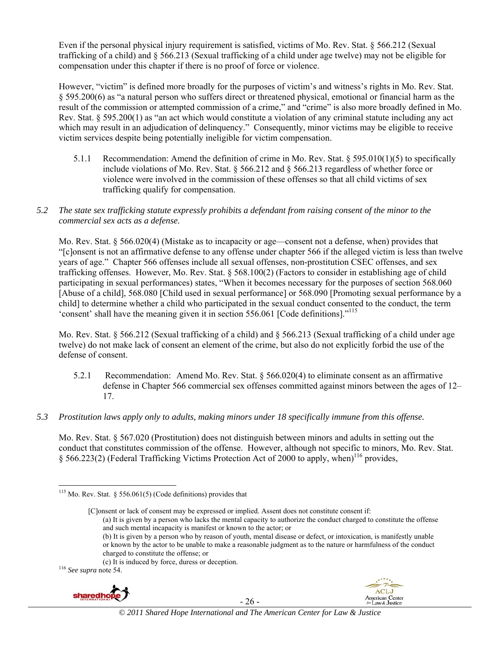Even if the personal physical injury requirement is satisfied, victims of Mo. Rev. Stat. § 566.212 (Sexual trafficking of a child) and § 566.213 (Sexual trafficking of a child under age twelve) may not be eligible for compensation under this chapter if there is no proof of force or violence.

However, "victim" is defined more broadly for the purposes of victim's and witness's rights in Mo. Rev. Stat. § 595.200(6) as "a natural person who suffers direct or threatened physical, emotional or financial harm as the result of the commission or attempted commission of a crime," and "crime" is also more broadly defined in Mo. Rev. Stat. § 595.200(1) as "an act which would constitute a violation of any criminal statute including any act which may result in an adjudication of delinquency." Consequently, minor victims may be eligible to receive victim services despite being potentially ineligible for victim compensation.

- 5.1.1 Recommendation: Amend the definition of crime in Mo. Rev. Stat. § 595.010(1)(5) to specifically include violations of Mo. Rev. Stat. § 566.212 and § 566.213 regardless of whether force or violence were involved in the commission of these offenses so that all child victims of sex trafficking qualify for compensation.
- *5.2 The state sex trafficking statute expressly prohibits a defendant from raising consent of the minor to the commercial sex acts as a defense.*

Mo. Rev. Stat. § 566.020(4) (Mistake as to incapacity or age—consent not a defense, when) provides that "[c]onsent is not an affirmative defense to any offense under chapter 566 if the alleged victim is less than twelve years of age." Chapter 566 offenses include all sexual offenses, non-prostitution CSEC offenses, and sex trafficking offenses. However, Mo. Rev. Stat. § 568.100(2) (Factors to consider in establishing age of child participating in sexual performances) states, "When it becomes necessary for the purposes of section 568.060 [Abuse of a child], 568.080 [Child used in sexual performance] or 568.090 [Promoting sexual performance by a child] to determine whether a child who participated in the sexual conduct consented to the conduct, the term 'consent' shall have the meaning given it in section 556.061 [Code definitions]."115

Mo. Rev. Stat. § 566.212 (Sexual trafficking of a child) and § 566.213 (Sexual trafficking of a child under age twelve) do not make lack of consent an element of the crime, but also do not explicitly forbid the use of the defense of consent.

- 5.2.1 Recommendation: Amend Mo. Rev. Stat. § 566.020(4) to eliminate consent as an affirmative defense in Chapter 566 commercial sex offenses committed against minors between the ages of 12– 17.
- *5.3 Prostitution laws apply only to adults, making minors under 18 specifically immune from this offense.*

Mo. Rev. Stat. § 567.020 (Prostitution) does not distinguish between minors and adults in setting out the conduct that constitutes commission of the offense. However, although not specific to minors, Mo. Rev. Stat. § 566.223(2) (Federal Trafficking Victims Protection Act of 2000 to apply, when)<sup>116</sup> provides.

and such mental incapacity is manifest or known to the actor; or

(b) It is given by a person who by reason of youth, mental disease or defect, or intoxication, is manifestly unable or known by the actor to be unable to make a reasonable judgment as to the nature or harmfulness of the conduct charged to constitute the offense; or



- 26 -



 $115$  Mo. Rev. Stat. § 556.061(5) (Code definitions) provides that

<sup>[</sup>C]onsent or lack of consent may be expressed or implied. Assent does not constitute consent if: (a) It is given by a person who lacks the mental capacity to authorize the conduct charged to constitute the offense

<sup>(</sup>c) It is induced by force, duress or deception. 116 *See supra* note 54.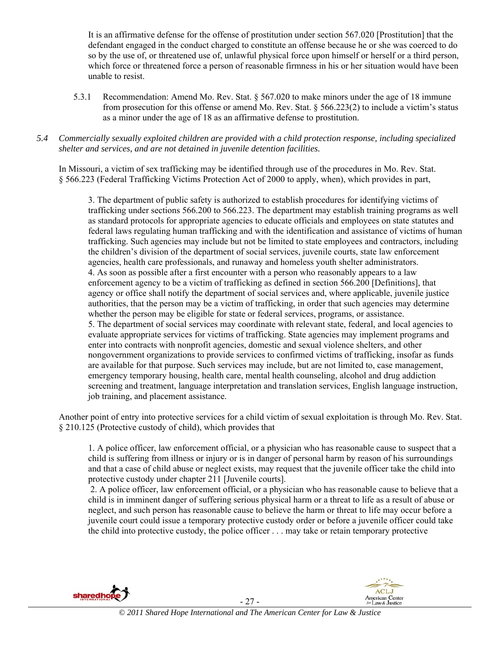It is an affirmative defense for the offense of prostitution under section 567.020 [Prostitution] that the defendant engaged in the conduct charged to constitute an offense because he or she was coerced to do so by the use of, or threatened use of, unlawful physical force upon himself or herself or a third person, which force or threatened force a person of reasonable firmness in his or her situation would have been unable to resist.

5.3.1 Recommendation: Amend Mo. Rev. Stat. § 567.020 to make minors under the age of 18 immune from prosecution for this offense or amend Mo. Rev. Stat. § 566.223(2) to include a victim's status as a minor under the age of 18 as an affirmative defense to prostitution.

## *5.4 Commercially sexually exploited children are provided with a child protection response, including specialized shelter and services, and are not detained in juvenile detention facilities.*

In Missouri, a victim of sex trafficking may be identified through use of the procedures in Mo. Rev. Stat. § 566.223 (Federal Trafficking Victims Protection Act of 2000 to apply, when), which provides in part,

3. The department of public safety is authorized to establish procedures for identifying victims of trafficking under sections 566.200 to 566.223. The department may establish training programs as well as standard protocols for appropriate agencies to educate officials and employees on state statutes and federal laws regulating human trafficking and with the identification and assistance of victims of human trafficking. Such agencies may include but not be limited to state employees and contractors, including the children's division of the department of social services, juvenile courts, state law enforcement agencies, health care professionals, and runaway and homeless youth shelter administrators. 4. As soon as possible after a first encounter with a person who reasonably appears to a law enforcement agency to be a victim of trafficking as defined in section 566.200 [Definitions], that agency or office shall notify the department of social services and, where applicable, juvenile justice authorities, that the person may be a victim of trafficking, in order that such agencies may determine whether the person may be eligible for state or federal services, programs, or assistance. 5. The department of social services may coordinate with relevant state, federal, and local agencies to evaluate appropriate services for victims of trafficking. State agencies may implement programs and enter into contracts with nonprofit agencies, domestic and sexual violence shelters, and other nongovernment organizations to provide services to confirmed victims of trafficking, insofar as funds are available for that purpose. Such services may include, but are not limited to, case management, emergency temporary housing, health care, mental health counseling, alcohol and drug addiction screening and treatment, language interpretation and translation services, English language instruction, job training, and placement assistance.

Another point of entry into protective services for a child victim of sexual exploitation is through Mo. Rev. Stat. § 210.125 (Protective custody of child), which provides that

1. A police officer, law enforcement official, or a physician who has reasonable cause to suspect that a child is suffering from illness or injury or is in danger of personal harm by reason of his surroundings and that a case of child abuse or neglect exists, may request that the juvenile officer take the child into protective custody under chapter 211 [Juvenile courts].

 2. A police officer, law enforcement official, or a physician who has reasonable cause to believe that a child is in imminent danger of suffering serious physical harm or a threat to life as a result of abuse or neglect, and such person has reasonable cause to believe the harm or threat to life may occur before a juvenile court could issue a temporary protective custody order or before a juvenile officer could take the child into protective custody, the police officer . . . may take or retain temporary protective



sharedhope - 27 -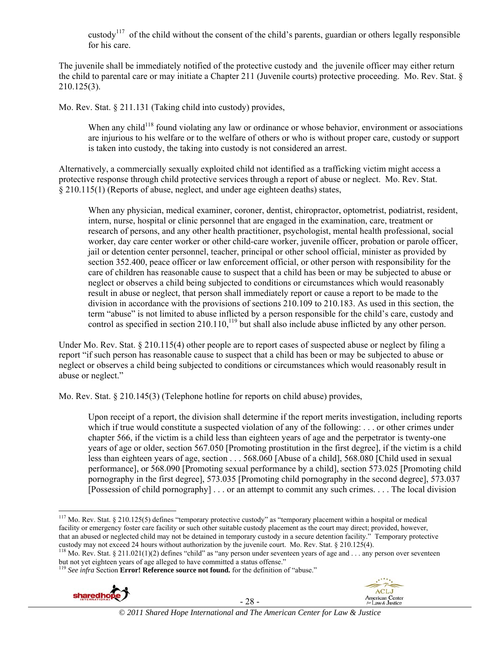custody<sup>117</sup> of the child without the consent of the child's parents, guardian or others legally responsible for his care.

The juvenile shall be immediately notified of the protective custody and the juvenile officer may either return the child to parental care or may initiate a Chapter 211 (Juvenile courts) protective proceeding. Mo. Rev. Stat. § 210.125(3).

Mo. Rev. Stat. § 211.131 (Taking child into custody) provides,

When any child<sup>118</sup> found violating any law or ordinance or whose behavior, environment or associations are injurious to his welfare or to the welfare of others or who is without proper care, custody or support is taken into custody, the taking into custody is not considered an arrest.

Alternatively, a commercially sexually exploited child not identified as a trafficking victim might access a protective response through child protective services through a report of abuse or neglect. Mo. Rev. Stat. § 210.115(1) (Reports of abuse, neglect, and under age eighteen deaths) states,

When any physician, medical examiner, coroner, dentist, chiropractor, optometrist, podiatrist, resident, intern, nurse, hospital or clinic personnel that are engaged in the examination, care, treatment or research of persons, and any other health practitioner, psychologist, mental health professional, social worker, day care center worker or other child-care worker, juvenile officer, probation or parole officer, jail or detention center personnel, teacher, principal or other school official, minister as provided by section 352.400, peace officer or law enforcement official, or other person with responsibility for the care of children has reasonable cause to suspect that a child has been or may be subjected to abuse or neglect or observes a child being subjected to conditions or circumstances which would reasonably result in abuse or neglect, that person shall immediately report or cause a report to be made to the division in accordance with the provisions of sections 210.109 to 210.183. As used in this section, the term "abuse" is not limited to abuse inflicted by a person responsible for the child's care, custody and control as specified in section 210.110,<sup>119</sup> but shall also include abuse inflicted by any other person.

Under Mo. Rev. Stat. § 210.115(4) other people are to report cases of suspected abuse or neglect by filing a report "if such person has reasonable cause to suspect that a child has been or may be subjected to abuse or neglect or observes a child being subjected to conditions or circumstances which would reasonably result in abuse or neglect."

Mo. Rev. Stat. § 210.145(3) (Telephone hotline for reports on child abuse) provides,

Upon receipt of a report, the division shall determine if the report merits investigation, including reports which if true would constitute a suspected violation of any of the following: . . . or other crimes under chapter 566, if the victim is a child less than eighteen years of age and the perpetrator is twenty-one years of age or older, section 567.050 [Promoting prostitution in the first degree], if the victim is a child less than eighteen years of age, section . . . 568.060 [Abuse of a child], 568.080 [Child used in sexual performance], or 568.090 [Promoting sexual performance by a child], section 573.025 [Promoting child pornography in the first degree], 573.035 [Promoting child pornography in the second degree], 573.037 [Possession of child pornography] . . . or an attempt to commit any such crimes. . . . The local division

<sup>&</sup>lt;sup>3</sup> See infra Section **Error! Reference source not found.** for the definition of "abuse."







<sup>&</sup>lt;sup>117</sup> Mo. Rev. Stat. § 210.125(5) defines "temporary protective custody" as "temporary placement within a hospital or medical facility or emergency foster care facility or such other suitable custody placement as the court may direct; provided, however, that an abused or neglected child may not be detained in temporary custody in a secure detention facility." Temporary protective custody may not exceed 24 hours without authorization by the juvenile court. Mo. Rev. Stat.

<sup>&</sup>lt;sup>118</sup> Mo. Rev. Stat. § 211.021(1)(2) defines "child" as "any person under seventeen years of age and ... any person over seventeen but not yet eighteen years of age alleged to have committed a status offense."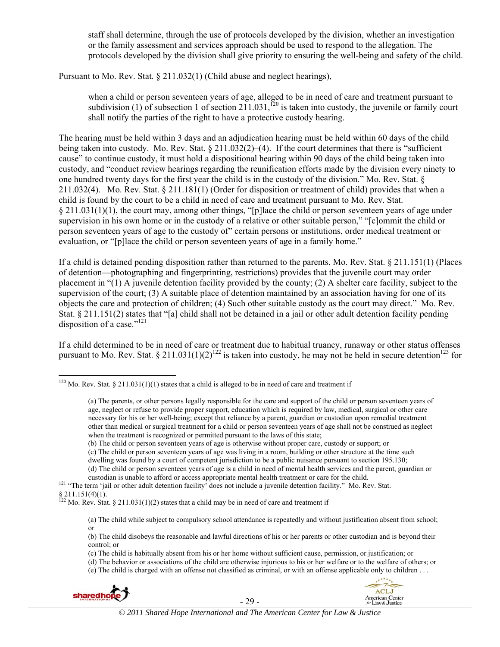staff shall determine, through the use of protocols developed by the division, whether an investigation or the family assessment and services approach should be used to respond to the allegation. The protocols developed by the division shall give priority to ensuring the well-being and safety of the child.

Pursuant to Mo. Rev. Stat. § 211.032(1) (Child abuse and neglect hearings),

when a child or person seventeen years of age, alleged to be in need of care and treatment pursuant to subdivision (1) of subsection 1 of section 211.031,<sup>120</sup> is taken into custody, the juvenile or family court shall notify the parties of the right to have a protective custody hearing.

The hearing must be held within 3 days and an adjudication hearing must be held within 60 days of the child being taken into custody. Mo. Rev. Stat.  $\S 211.032(2)$ –(4). If the court determines that there is "sufficient cause" to continue custody, it must hold a dispositional hearing within 90 days of the child being taken into custody, and "conduct review hearings regarding the reunification efforts made by the division every ninety to one hundred twenty days for the first year the child is in the custody of the division." Mo. Rev. Stat. § 211.032(4). Mo. Rev. Stat. § 211.181(1) (Order for disposition or treatment of child) provides that when a child is found by the court to be a child in need of care and treatment pursuant to Mo. Rev. Stat. § 211.031(1)(1), the court may, among other things, "[p]lace the child or person seventeen years of age under supervision in his own home or in the custody of a relative or other suitable person," "[c]ommit the child or person seventeen years of age to the custody of" certain persons or institutions, order medical treatment or evaluation, or "[p]lace the child or person seventeen years of age in a family home."

If a child is detained pending disposition rather than returned to the parents, Mo. Rev. Stat. § 211.151(1) (Places of detention—photographing and fingerprinting, restrictions) provides that the juvenile court may order placement in "(1) A juvenile detention facility provided by the county; (2) A shelter care facility, subject to the supervision of the court; (3) A suitable place of detention maintained by an association having for one of its objects the care and protection of children; (4) Such other suitable custody as the court may direct." Mo. Rev. Stat. § 211.151(2) states that "[a] child shall not be detained in a jail or other adult detention facility pending disposition of a case."<sup>121</sup>

If a child determined to be in need of care or treatment due to habitual truancy, runaway or other status offenses pursuant to Mo. Rev. Stat.  $\frac{8211.031(1)(2)^{122}}{2}$  is taken into custody, he may not be held in secure detention<sup>123</sup> for

(b) The child or person seventeen years of age is otherwise without proper care, custody or support; or

(d) The child or person seventeen years of age is a child in need of mental health services and the parent, guardian or

<sup>(</sup>e) The child is charged with an offense not classified as criminal, or with an offense applicable only to children . . .



- 29 -



 <sup>120</sup> Mo. Rev. Stat. § 211.031(1)(1) states that a child is alleged to be in need of care and treatment if

<sup>(</sup>a) The parents, or other persons legally responsible for the care and support of the child or person seventeen years of age, neglect or refuse to provide proper support, education which is required by law, medical, surgical or other care necessary for his or her well-being; except that reliance by a parent, guardian or custodian upon remedial treatment other than medical or surgical treatment for a child or person seventeen years of age shall not be construed as neglect when the treatment is recognized or permitted pursuant to the laws of this state;

<sup>(</sup>c) The child or person seventeen years of age was living in a room, building or other structure at the time such

dwelling was found by a court of competent jurisdiction to be a public nuisance pursuant to section 195.130;

custodian is unable to afford or access appropriate mental health treatment or care for the child. 121 "The term 'jail or other adult detention facility' does not include a juvenile detention facility." Mo. Rev. Stat.

 $§$  211.151(4)(1).

<sup>&</sup>lt;sup>122</sup> Mo. Rev. Stat. § 211.031(1)(2) states that a child may be in need of care and treatment if

<sup>(</sup>a) The child while subject to compulsory school attendance is repeatedly and without justification absent from school; or

<sup>(</sup>b) The child disobeys the reasonable and lawful directions of his or her parents or other custodian and is beyond their control; or

<sup>(</sup>c) The child is habitually absent from his or her home without sufficient cause, permission, or justification; or

<sup>(</sup>d) The behavior or associations of the child are otherwise injurious to his or her welfare or to the welfare of others; or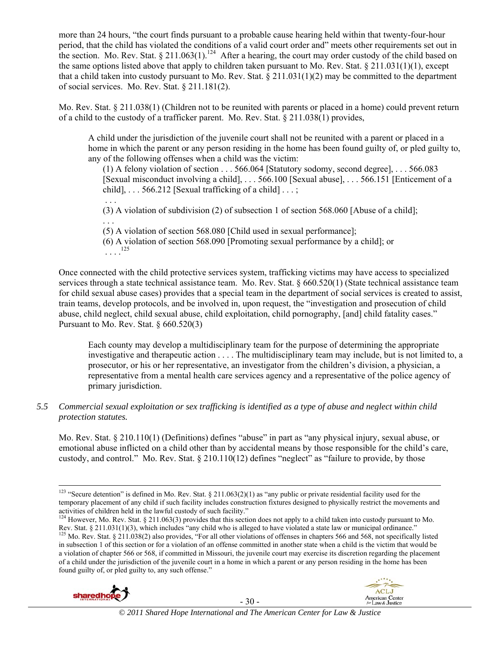more than 24 hours, "the court finds pursuant to a probable cause hearing held within that twenty-four-hour period, that the child has violated the conditions of a valid court order and" meets other requirements set out in the section. Mo. Rev. Stat.  $\S 211.063(1)$ <sup>124</sup> After a hearing, the court may order custody of the child based on the same options listed above that apply to children taken pursuant to Mo. Rev. Stat. § 211.031(1)(1), except that a child taken into custody pursuant to Mo. Rev. Stat. § 211.031(1)(2) may be committed to the department of social services. Mo. Rev. Stat. § 211.181(2).

Mo. Rev. Stat. § 211.038(1) (Children not to be reunited with parents or placed in a home) could prevent return of a child to the custody of a trafficker parent. Mo. Rev. Stat. § 211.038(1) provides,

A child under the jurisdiction of the juvenile court shall not be reunited with a parent or placed in a home in which the parent or any person residing in the home has been found guilty of, or pled guilty to, any of the following offenses when a child was the victim:

(1) A felony violation of section . . . 566.064 [Statutory sodomy, second degree], . . . 566.083 [Sexual misconduct involving a child], . . . 566.100 [Sexual abuse], . . . 566.151 [Enticement of a child],  $\ldots$  566.212 [Sexual trafficking of a child]  $\ldots$ ;

 . . . (3) A violation of subdivision (2) of subsection 1 of section 568.060 [Abuse of a child]; . . .

(5) A violation of section 568.080 [Child used in sexual performance];

(6) A violation of section 568.090 [Promoting sexual performance by a child]; or  $\begin{array}{c} \therefore \end{array}$ . 125

Once connected with the child protective services system, trafficking victims may have access to specialized services through a state technical assistance team. Mo. Rev. Stat. § 660.520(1) (State technical assistance team for child sexual abuse cases) provides that a special team in the department of social services is created to assist, train teams, develop protocols, and be involved in, upon request, the "investigation and prosecution of child abuse, child neglect, child sexual abuse, child exploitation, child pornography, [and] child fatality cases." Pursuant to Mo. Rev. Stat.  $§ 660.520(3)$ 

Each county may develop a multidisciplinary team for the purpose of determining the appropriate investigative and therapeutic action . . . . The multidisciplinary team may include, but is not limited to, a prosecutor, or his or her representative, an investigator from the children's division, a physician, a representative from a mental health care services agency and a representative of the police agency of primary jurisdiction.

# *5.5 Commercial sexual exploitation or sex trafficking is identified as a type of abuse and neglect within child protection statutes.*

Mo. Rev. Stat. § 210.110(1) (Definitions) defines "abuse" in part as "any physical injury, sexual abuse, or emotional abuse inflicted on a child other than by accidental means by those responsible for the child's care, custody, and control." Mo. Rev. Stat. § 210.110(12) defines "neglect" as "failure to provide, by those

<sup>&</sup>lt;sup>124</sup> However, Mo. Rev. Stat. § 211.063(3) provides that this section does not apply to a child taken into custody pursuant to Mo. Rev. Stat. § 211.031(1)(3), which includes "any child who is alleged to have violated a st <sup>125</sup> Mo. Rev. Stat. § 211.038(2) also provides, "For all other violations of offenses in chapters 566 and 568, not specifically listed in subsection 1 of this section or for a violation of an offense committed in another state when a child is the victim that would be a violation of chapter 566 or 568, if committed in Missouri, the juvenile court may exercise its discretion regarding the placement of a child under the jurisdiction of the juvenile court in a home in which a parent or any person residing in the home has been found guilty of, or pled guilty to, any such offense."





<sup>&</sup>lt;sup>123</sup> "Secure detention" is defined in Mo. Rev. Stat. § 211.063(2)(1) as "any public or private residential facility used for the temporary placement of any child if such facility includes construction fixtures designed to physically restrict the movements and activities of children held in the lawful custody of such facility."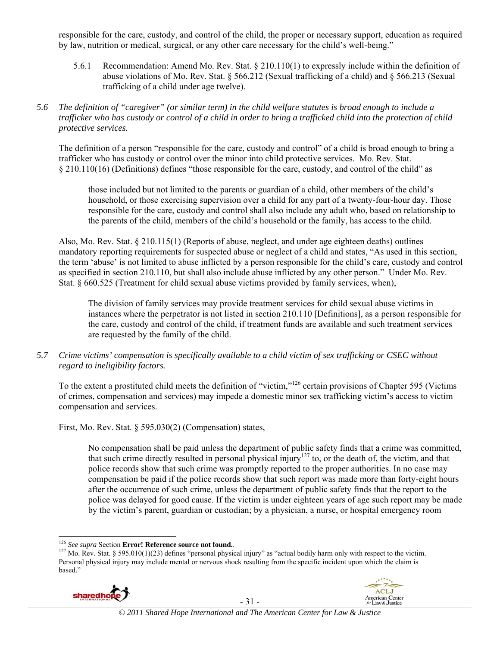responsible for the care, custody, and control of the child, the proper or necessary support, education as required by law, nutrition or medical, surgical, or any other care necessary for the child's well-being."

- 5.6.1 Recommendation: Amend Mo. Rev. Stat. § 210.110(1) to expressly include within the definition of abuse violations of Mo. Rev. Stat. § 566.212 (Sexual trafficking of a child) and § 566.213 (Sexual trafficking of a child under age twelve).
- *5.6 The definition of "caregiver" (or similar term) in the child welfare statutes is broad enough to include a trafficker who has custody or control of a child in order to bring a trafficked child into the protection of child protective services.*

The definition of a person "responsible for the care, custody and control" of a child is broad enough to bring a trafficker who has custody or control over the minor into child protective services. Mo. Rev. Stat. § 210.110(16) (Definitions) defines "those responsible for the care, custody, and control of the child" as

those included but not limited to the parents or guardian of a child, other members of the child's household, or those exercising supervision over a child for any part of a twenty-four-hour day. Those responsible for the care, custody and control shall also include any adult who, based on relationship to the parents of the child, members of the child's household or the family, has access to the child.

Also, Mo. Rev. Stat. § 210.115(1) (Reports of abuse, neglect, and under age eighteen deaths) outlines mandatory reporting requirements for suspected abuse or neglect of a child and states, "As used in this section, the term 'abuse' is not limited to abuse inflicted by a person responsible for the child's care, custody and control as specified in section 210.110, but shall also include abuse inflicted by any other person." Under Mo. Rev. Stat. § 660.525 (Treatment for child sexual abuse victims provided by family services, when),

The division of family services may provide treatment services for child sexual abuse victims in instances where the perpetrator is not listed in section 210.110 [Definitions], as a person responsible for the care, custody and control of the child, if treatment funds are available and such treatment services are requested by the family of the child.

*5.7 Crime victims' compensation is specifically available to a child victim of sex trafficking or CSEC without regard to ineligibility factors.* 

To the extent a prostituted child meets the definition of "victim,"126 certain provisions of Chapter 595 (Victims of crimes, compensation and services) may impede a domestic minor sex trafficking victim's access to victim compensation and services.

First, Mo. Rev. Stat. § 595.030(2) (Compensation) states,

No compensation shall be paid unless the department of public safety finds that a crime was committed, that such crime directly resulted in personal physical injury<sup>127</sup> to, or the death of, the victim, and that police records show that such crime was promptly reported to the proper authorities. In no case may compensation be paid if the police records show that such report was made more than forty-eight hours after the occurrence of such crime, unless the department of public safety finds that the report to the police was delayed for good cause. If the victim is under eighteen years of age such report may be made by the victim's parent, guardian or custodian; by a physician, a nurse, or hospital emergency room

<sup>&</sup>lt;sup>127</sup> Mo. Rev. Stat. § 595.010(1)(23) defines "personal physical injury" as "actual bodily harm only with respect to the victim. Personal physical injury may include mental or nervous shock resulting from the specific incident upon which the claim is based."





<sup>&</sup>lt;sup>126</sup> See supra Section Error! Reference source not found..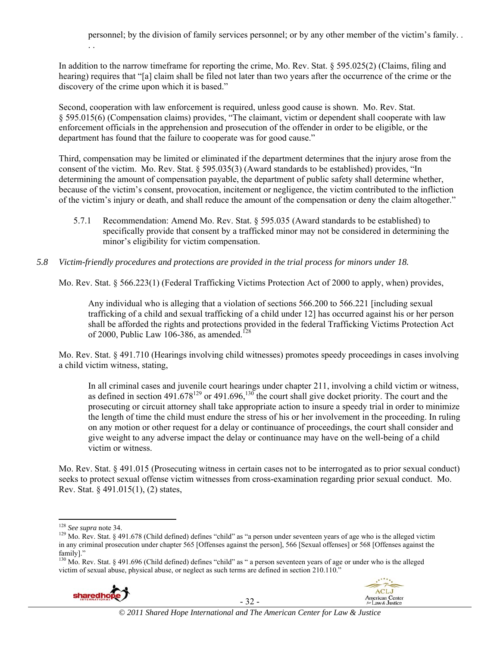In addition to the narrow timeframe for reporting the crime, Mo. Rev. Stat. § 595.025(2) (Claims, filing and hearing) requires that "[a] claim shall be filed not later than two years after the occurrence of the crime or the discovery of the crime upon which it is based."

Second, cooperation with law enforcement is required, unless good cause is shown. Mo. Rev. Stat. § 595.015(6) (Compensation claims) provides, "The claimant, victim or dependent shall cooperate with law enforcement officials in the apprehension and prosecution of the offender in order to be eligible, or the department has found that the failure to cooperate was for good cause."

Third, compensation may be limited or eliminated if the department determines that the injury arose from the consent of the victim. Mo. Rev. Stat. § 595.035(3) (Award standards to be established) provides, "In determining the amount of compensation payable, the department of public safety shall determine whether, because of the victim's consent, provocation, incitement or negligence, the victim contributed to the infliction of the victim's injury or death, and shall reduce the amount of the compensation or deny the claim altogether."

5.7.1 Recommendation: Amend Mo. Rev. Stat. § 595.035 (Award standards to be established) to specifically provide that consent by a trafficked minor may not be considered in determining the minor's eligibility for victim compensation.

#### *5.8 Victim-friendly procedures and protections are provided in the trial process for minors under 18.*

Mo. Rev. Stat. § 566.223(1) (Federal Trafficking Victims Protection Act of 2000 to apply, when) provides,

Any individual who is alleging that a violation of sections 566.200 to 566.221 [including sexual trafficking of a child and sexual trafficking of a child under 12] has occurred against his or her person shall be afforded the rights and protections provided in the federal Trafficking Victims Protection Act of 2000, Public Law 106-386, as amended.<sup>128</sup>

Mo. Rev. Stat. § 491.710 (Hearings involving child witnesses) promotes speedy proceedings in cases involving a child victim witness, stating,

In all criminal cases and juvenile court hearings under chapter 211, involving a child victim or witness, as defined in section 491.678<sup>129</sup> or 491.696,<sup>130</sup> the court shall give docket priority. The court and the prosecuting or circuit attorney shall take appropriate action to insure a speedy trial in order to minimize the length of time the child must endure the stress of his or her involvement in the proceeding. In ruling on any motion or other request for a delay or continuance of proceedings, the court shall consider and give weight to any adverse impact the delay or continuance may have on the well-being of a child victim or witness.

Mo. Rev. Stat. § 491.015 (Prosecuting witness in certain cases not to be interrogated as to prior sexual conduct) seeks to protect sexual offense victim witnesses from cross-examination regarding prior sexual conduct. Mo. Rev. Stat. § 491.015(1), (2) states,

. .

<sup>&</sup>lt;sup>130</sup> Mo. Rev. Stat. § 491.696 (Child defined) defines "child" as " a person seventeen years of age or under who is the alleged victim of sexual abuse, physical abuse, or neglect as such terms are defined in section 210.110."





<sup>&</sup>lt;sup>128</sup> See supra note 34.

<sup>&</sup>lt;sup>129</sup> Mo. Rev. Stat. § 491.678 (Child defined) defines "child" as "a person under seventeen years of age who is the alleged victim in any criminal prosecution under chapter 565 [Offenses against the person], 566 [Sexual offenses] or 568 [Offenses against the family]."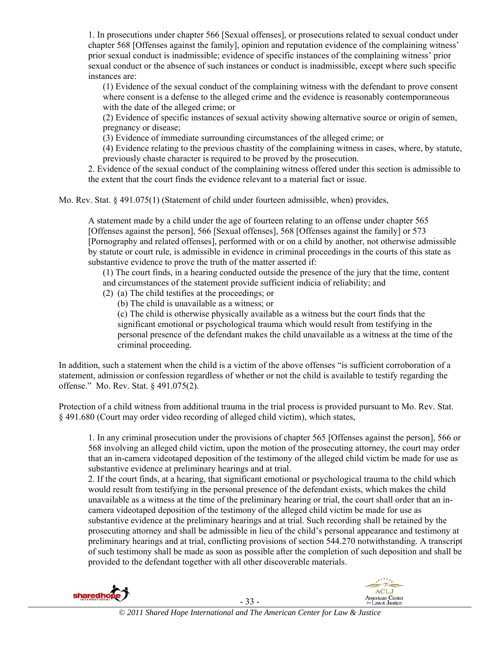1. In prosecutions under chapter 566 [Sexual offenses], or prosecutions related to sexual conduct under chapter 568 [Offenses against the family], opinion and reputation evidence of the complaining witness' prior sexual conduct is inadmissible; evidence of specific instances of the complaining witness' prior sexual conduct or the absence of such instances or conduct is inadmissible, except where such specific instances are:

(1) Evidence of the sexual conduct of the complaining witness with the defendant to prove consent where consent is a defense to the alleged crime and the evidence is reasonably contemporaneous with the date of the alleged crime; or

(2) Evidence of specific instances of sexual activity showing alternative source or origin of semen, pregnancy or disease;

(3) Evidence of immediate surrounding circumstances of the alleged crime; or

(4) Evidence relating to the previous chastity of the complaining witness in cases, where, by statute, previously chaste character is required to be proved by the prosecution.

2. Evidence of the sexual conduct of the complaining witness offered under this section is admissible to the extent that the court finds the evidence relevant to a material fact or issue.

Mo. Rev. Stat. § 491.075(1) (Statement of child under fourteen admissible, when) provides,

A statement made by a child under the age of fourteen relating to an offense under chapter 565 [Offenses against the person], 566 [Sexual offenses], 568 [Offenses against the family] or 573 [Pornography and related offenses], performed with or on a child by another, not otherwise admissible by statute or court rule, is admissible in evidence in criminal proceedings in the courts of this state as substantive evidence to prove the truth of the matter asserted if:

(1) The court finds, in a hearing conducted outside the presence of the jury that the time, content and circumstances of the statement provide sufficient indicia of reliability; and

- (2) (a) The child testifies at the proceedings; or
	- (b) The child is unavailable as a witness; or

(c) The child is otherwise physically available as a witness but the court finds that the significant emotional or psychological trauma which would result from testifying in the personal presence of the defendant makes the child unavailable as a witness at the time of the criminal proceeding.

In addition, such a statement when the child is a victim of the above offenses "is sufficient corroboration of a statement, admission or confession regardless of whether or not the child is available to testify regarding the offense." Mo. Rev. Stat. § 491.075(2).

Protection of a child witness from additional trauma in the trial process is provided pursuant to Mo. Rev. Stat. § 491.680 (Court may order video recording of alleged child victim), which states,

1. In any criminal prosecution under the provisions of chapter 565 [Offenses against the person], 566 or 568 involving an alleged child victim, upon the motion of the prosecuting attorney, the court may order that an in-camera videotaped deposition of the testimony of the alleged child victim be made for use as substantive evidence at preliminary hearings and at trial.

2. If the court finds, at a hearing, that significant emotional or psychological trauma to the child which would result from testifying in the personal presence of the defendant exists, which makes the child unavailable as a witness at the time of the preliminary hearing or trial, the court shall order that an incamera videotaped deposition of the testimony of the alleged child victim be made for use as substantive evidence at the preliminary hearings and at trial. Such recording shall be retained by the prosecuting attorney and shall be admissible in lieu of the child's personal appearance and testimony at preliminary hearings and at trial, conflicting provisions of section 544.270 notwithstanding. A transcript of such testimony shall be made as soon as possible after the completion of such deposition and shall be provided to the defendant together with all other discoverable materials.



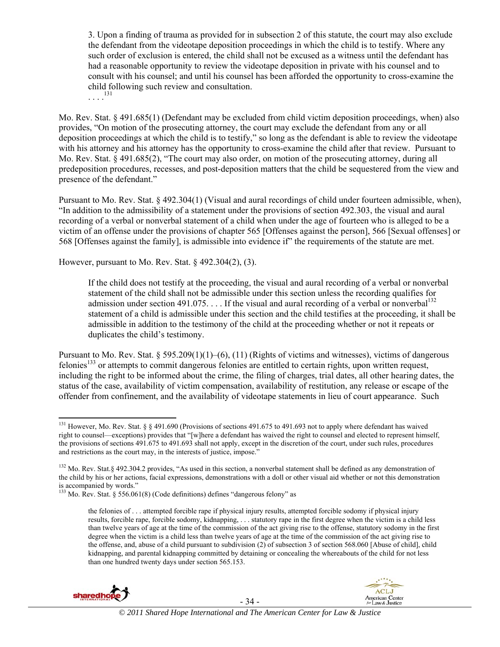3. Upon a finding of trauma as provided for in subsection 2 of this statute, the court may also exclude the defendant from the videotape deposition proceedings in which the child is to testify. Where any such order of exclusion is entered, the child shall not be excused as a witness until the defendant has had a reasonable opportunity to review the videotape deposition in private with his counsel and to consult with his counsel; and until his counsel has been afforded the opportunity to cross-examine the child following such review and consultation.

 $\ldots$ <sup>131</sup>

Mo. Rev. Stat. § 491.685(1) (Defendant may be excluded from child victim deposition proceedings, when) also provides, "On motion of the prosecuting attorney, the court may exclude the defendant from any or all deposition proceedings at which the child is to testify," so long as the defendant is able to review the videotape with his attorney and his attorney has the opportunity to cross-examine the child after that review. Pursuant to Mo. Rev. Stat. § 491.685(2), "The court may also order, on motion of the prosecuting attorney, during all predeposition procedures, recesses, and post-deposition matters that the child be sequestered from the view and presence of the defendant."

Pursuant to Mo. Rev. Stat. § 492.304(1) (Visual and aural recordings of child under fourteen admissible, when), "In addition to the admissibility of a statement under the provisions of section 492.303, the visual and aural recording of a verbal or nonverbal statement of a child when under the age of fourteen who is alleged to be a victim of an offense under the provisions of chapter 565 [Offenses against the person], 566 [Sexual offenses] or 568 [Offenses against the family], is admissible into evidence if" the requirements of the statute are met.

However, pursuant to Mo. Rev. Stat. § 492.304(2), (3).

If the child does not testify at the proceeding, the visual and aural recording of a verbal or nonverbal statement of the child shall not be admissible under this section unless the recording qualifies for admission under section 491.075. . . . If the visual and aural recording of a verbal or nonverbal<sup>132</sup> statement of a child is admissible under this section and the child testifies at the proceeding, it shall be admissible in addition to the testimony of the child at the proceeding whether or not it repeats or duplicates the child's testimony.

Pursuant to Mo. Rev. Stat. § 595.209(1)(1)–(6), (11) (Rights of victims and witnesses), victims of dangerous felonies<sup>133</sup> or attempts to commit dangerous felonies are entitled to certain rights, upon written request, including the right to be informed about the crime, the filing of charges, trial dates, all other hearing dates, the status of the case, availability of victim compensation, availability of restitution, any release or escape of the offender from confinement, and the availability of videotape statements in lieu of court appearance. Such

the felonies of . . . attempted forcible rape if physical injury results, attempted forcible sodomy if physical injury results, forcible rape, forcible sodomy, kidnapping, . . . statutory rape in the first degree when the victim is a child less than twelve years of age at the time of the commission of the act giving rise to the offense, statutory sodomy in the first degree when the victim is a child less than twelve years of age at the time of the commission of the act giving rise to the offense, and, abuse of a child pursuant to subdivision (2) of subsection 3 of section 568.060 [Abuse of child], child kidnapping, and parental kidnapping committed by detaining or concealing the whereabouts of the child for not less than one hundred twenty days under section 565.153.





 <sup>131</sup> However, Mo. Rev. Stat. § § 491.690 (Provisions of sections 491.675 to 491.693 not to apply where defendant has waived right to counsel—exceptions) provides that "[w]here a defendant has waived the right to counsel and elected to represent himself, the provisions of sections 491.675 to 491.693 shall not apply, except in the discretion of the court, under such rules, procedures and restrictions as the court may, in the interests of justice, impose."

<sup>132</sup> Mo. Rev. Stat. § 492.304.2 provides, "As used in this section, a nonverbal statement shall be defined as any demonstration of the child by his or her actions, facial expressions, demonstrations with a doll or other visual aid whether or not this demonstration is accompanied by words."

 $133$  Mo. Rev. Stat. § 556.061(8) (Code definitions) defines "dangerous felony" as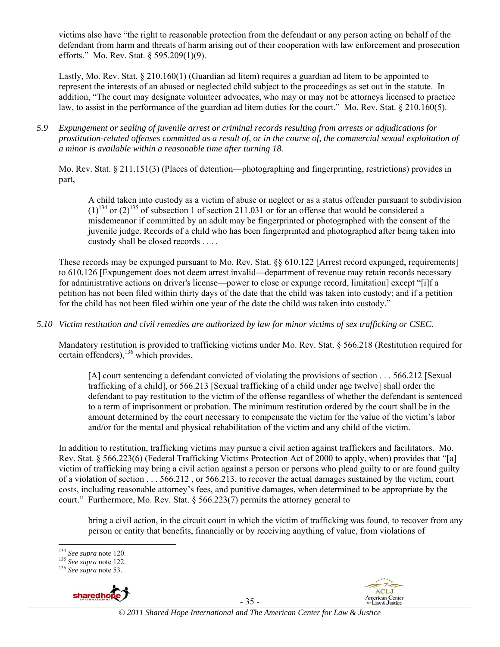victims also have "the right to reasonable protection from the defendant or any person acting on behalf of the defendant from harm and threats of harm arising out of their cooperation with law enforcement and prosecution efforts." Mo. Rev. Stat. § 595.209(1)(9).

Lastly, Mo. Rev. Stat. § 210.160(1) (Guardian ad litem) requires a guardian ad litem to be appointed to represent the interests of an abused or neglected child subject to the proceedings as set out in the statute. In addition, "The court may designate volunteer advocates, who may or may not be attorneys licensed to practice law, to assist in the performance of the guardian ad litem duties for the court." Mo. Rev. Stat. § 210.160(5).

*5.9 Expungement or sealing of juvenile arrest or criminal records resulting from arrests or adjudications for prostitution-related offenses committed as a result of, or in the course of, the commercial sexual exploitation of a minor is available within a reasonable time after turning 18.* 

Mo. Rev. Stat. § 211.151(3) (Places of detention—photographing and fingerprinting, restrictions) provides in part,

A child taken into custody as a victim of abuse or neglect or as a status offender pursuant to subdivision  $(1)^{134}$  or  $(2)^{135}$  of subsection 1 of section 211.031 or for an offense that would be considered a misdemeanor if committed by an adult may be fingerprinted or photographed with the consent of the juvenile judge. Records of a child who has been fingerprinted and photographed after being taken into custody shall be closed records . . . .

These records may be expunged pursuant to Mo. Rev. Stat. §§ 610.122 [Arrest record expunged, requirements] to 610.126 [Expungement does not deem arrest invalid—department of revenue may retain records necessary for administrative actions on driver's license—power to close or expunge record, limitation] except "[i]f a petition has not been filed within thirty days of the date that the child was taken into custody; and if a petition for the child has not been filed within one year of the date the child was taken into custody."

*5.10 Victim restitution and civil remedies are authorized by law for minor victims of sex trafficking or CSEC.* 

Mandatory restitution is provided to trafficking victims under Mo. Rev. Stat. § 566.218 (Restitution required for certain offenders),  $^{136}$  which provides,

[A] court sentencing a defendant convicted of violating the provisions of section . . . 566.212 [Sexual trafficking of a child], or 566.213 [Sexual trafficking of a child under age twelve] shall order the defendant to pay restitution to the victim of the offense regardless of whether the defendant is sentenced to a term of imprisonment or probation. The minimum restitution ordered by the court shall be in the amount determined by the court necessary to compensate the victim for the value of the victim's labor and/or for the mental and physical rehabilitation of the victim and any child of the victim.

In addition to restitution, trafficking victims may pursue a civil action against traffickers and facilitators. Mo. Rev. Stat. § 566.223(6) (Federal Trafficking Victims Protection Act of 2000 to apply, when) provides that "[a] victim of trafficking may bring a civil action against a person or persons who plead guilty to or are found guilty of a violation of section . . . 566.212 , or 566.213, to recover the actual damages sustained by the victim, court costs, including reasonable attorney's fees, and punitive damages, when determined to be appropriate by the court." Furthermore, Mo. Rev. Stat. § 566.223(7) permits the attorney general to

bring a civil action, in the circuit court in which the victim of trafficking was found, to recover from any person or entity that benefits, financially or by receiving anything of value, from violations of

<sup>134</sup> *See supra* note 120. 135 *See supra* note 122. 136 *See supra* note 53.



 $ACL$ American Center<br>for Law & Justice

<sup>&</sup>lt;sup>134</sup> See supra note 120.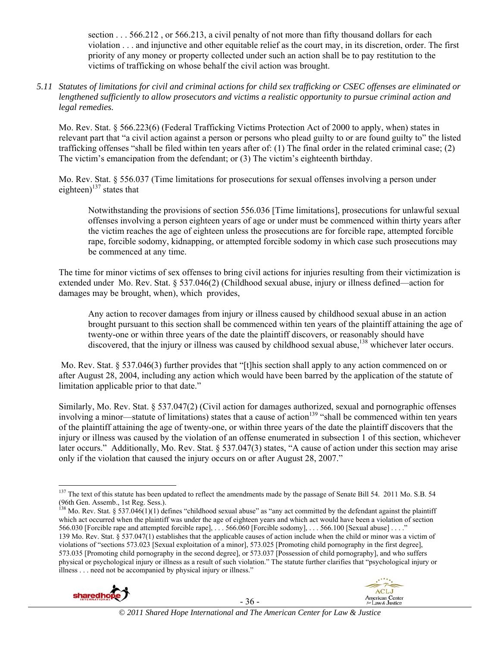section . . . 566.212 , or 566.213, a civil penalty of not more than fifty thousand dollars for each violation . . . and injunctive and other equitable relief as the court may, in its discretion, order. The first priority of any money or property collected under such an action shall be to pay restitution to the victims of trafficking on whose behalf the civil action was brought.

*5.11 Statutes of limitations for civil and criminal actions for child sex trafficking or CSEC offenses are eliminated or lengthened sufficiently to allow prosecutors and victims a realistic opportunity to pursue criminal action and legal remedies.* 

Mo. Rev. Stat. § 566.223(6) (Federal Trafficking Victims Protection Act of 2000 to apply, when) states in relevant part that "a civil action against a person or persons who plead guilty to or are found guilty to" the listed trafficking offenses "shall be filed within ten years after of: (1) The final order in the related criminal case; (2) The victim's emancipation from the defendant; or (3) The victim's eighteenth birthday.

Mo. Rev. Stat. § 556.037 (Time limitations for prosecutions for sexual offenses involving a person under eighteen) $137$  states that

Notwithstanding the provisions of section 556.036 [Time limitations], prosecutions for unlawful sexual offenses involving a person eighteen years of age or under must be commenced within thirty years after the victim reaches the age of eighteen unless the prosecutions are for forcible rape, attempted forcible rape, forcible sodomy, kidnapping, or attempted forcible sodomy in which case such prosecutions may be commenced at any time.

The time for minor victims of sex offenses to bring civil actions for injuries resulting from their victimization is extended under Mo. Rev. Stat. § 537.046(2) (Childhood sexual abuse, injury or illness defined—action for damages may be brought, when), which provides,

Any action to recover damages from injury or illness caused by childhood sexual abuse in an action brought pursuant to this section shall be commenced within ten years of the plaintiff attaining the age of twenty-one or within three years of the date the plaintiff discovers, or reasonably should have discovered, that the injury or illness was caused by childhood sexual abuse,<sup>138</sup> whichever later occurs.

 Mo. Rev. Stat. § 537.046(3) further provides that "[t]his section shall apply to any action commenced on or after August 28, 2004, including any action which would have been barred by the application of the statute of limitation applicable prior to that date."

Similarly, Mo. Rev. Stat. § 537.047(2) (Civil action for damages authorized, sexual and pornographic offenses involving a minor—statute of limitations) states that a cause of action<sup>139</sup> "shall be commenced within ten years of the plaintiff attaining the age of twenty-one, or within three years of the date the plaintiff discovers that the injury or illness was caused by the violation of an offense enumerated in subsection 1 of this section, whichever later occurs." Additionally, Mo. Rev. Stat. § 537.047(3) states, "A cause of action under this section may arise only if the violation that caused the injury occurs on or after August 28, 2007."

 $^{138}$  Mo. Rev. Stat. § 537.046(1)(1) defines "childhood sexual abuse" as "any act committed by the defendant against the plaintiff which act occurred when the plaintiff was under the age of eighteen years and which act would have been a violation of section 566.030 [Forcible rape and attempted forcible rape], . . . 566.060 [Forcible sodomy], . . . 566.100 [Sexual abuse] . . . ." 139 Mo. Rev. Stat. § 537.047(1) establishes that the applicable causes of action include when the child or minor was a victim of violations of "sections 573.023 [Sexual exploitation of a minor], 573.025 [Promoting child pornography in the first degree], 573.035 [Promoting child pornography in the second degree], or 573.037 [Possession of child pornography], and who suffers physical or psychological injury or illness as a result of such violation." The statute further clarifies that "psychological injury or illness . . . need not be accompanied by physical injury or illness."





 <sup>137</sup> The text of this statute has been updated to reflect the amendments made by the passage of Senate Bill 54. 2011 Mo. S.B. 54 (96th Gen. Assemb., 1st Reg. Sess.).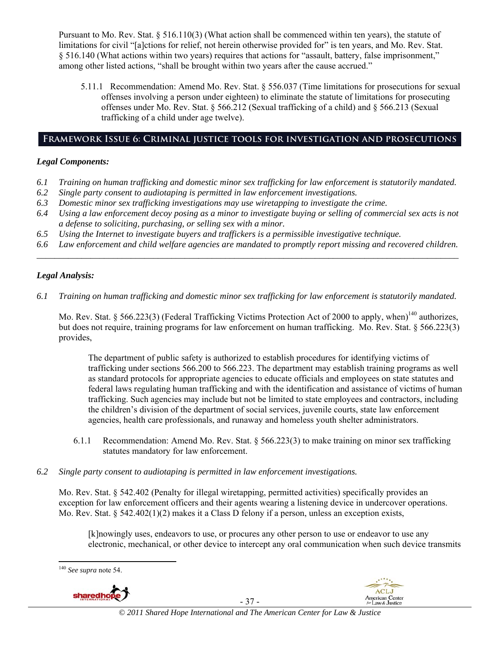Pursuant to Mo. Rev. Stat. § 516.110(3) (What action shall be commenced within ten years), the statute of limitations for civil "[a]ctions for relief, not herein otherwise provided for" is ten years, and Mo. Rev. Stat. § 516.140 (What actions within two years) requires that actions for "assault, battery, false imprisonment," among other listed actions, "shall be brought within two years after the cause accrued."

5.11.1 Recommendation: Amend Mo. Rev. Stat. § 556.037 (Time limitations for prosecutions for sexual offenses involving a person under eighteen) to eliminate the statute of limitations for prosecuting offenses under Mo. Rev. Stat. § 566.212 (Sexual trafficking of a child) and § 566.213 (Sexual trafficking of a child under age twelve).

# **Framework Issue 6: Criminal justice tools for investigation and prosecutions**

# *Legal Components:*

- *6.1 Training on human trafficking and domestic minor sex trafficking for law enforcement is statutorily mandated.*
- *6.2 Single party consent to audiotaping is permitted in law enforcement investigations.*
- *6.3 Domestic minor sex trafficking investigations may use wiretapping to investigate the crime.*
- *6.4 Using a law enforcement decoy posing as a minor to investigate buying or selling of commercial sex acts is not a defense to soliciting, purchasing, or selling sex with a minor.*
- *6.5 Using the Internet to investigate buyers and traffickers is a permissible investigative technique.*
- *6.6 Law enforcement and child welfare agencies are mandated to promptly report missing and recovered children. \_\_\_\_\_\_\_\_\_\_\_\_\_\_\_\_\_\_\_\_\_\_\_\_\_\_\_\_\_\_\_\_\_\_\_\_\_\_\_\_\_\_\_\_\_\_\_\_\_\_\_\_\_\_\_\_\_\_\_\_\_\_\_\_\_\_\_\_\_\_\_\_\_\_\_\_\_\_\_\_\_\_\_\_\_\_\_\_\_\_\_\_\_\_*

# *Legal Analysis:*

*6.1 Training on human trafficking and domestic minor sex trafficking for law enforcement is statutorily mandated.*

Mo. Rev. Stat. § 566.223(3) (Federal Trafficking Victims Protection Act of 2000 to apply, when)<sup>140</sup> authorizes, but does not require, training programs for law enforcement on human trafficking. Mo. Rev. Stat. § 566.223(3) provides,

The department of public safety is authorized to establish procedures for identifying victims of trafficking under sections 566.200 to 566.223. The department may establish training programs as well as standard protocols for appropriate agencies to educate officials and employees on state statutes and federal laws regulating human trafficking and with the identification and assistance of victims of human trafficking. Such agencies may include but not be limited to state employees and contractors, including the children's division of the department of social services, juvenile courts, state law enforcement agencies, health care professionals, and runaway and homeless youth shelter administrators.

- 6.1.1 Recommendation: Amend Mo. Rev. Stat. § 566.223(3) to make training on minor sex trafficking statutes mandatory for law enforcement.
- *6.2 Single party consent to audiotaping is permitted in law enforcement investigations.*

Mo. Rev. Stat. § 542.402 (Penalty for illegal wiretapping, permitted activities) specifically provides an exception for law enforcement officers and their agents wearing a listening device in undercover operations. Mo. Rev. Stat. § 542.402(1)(2) makes it a Class D felony if a person, unless an exception exists,

[k]nowingly uses, endeavors to use, or procures any other person to use or endeavor to use any electronic, mechanical, or other device to intercept any oral communication when such device transmits

<sup>140</sup> *See supra* note 54.





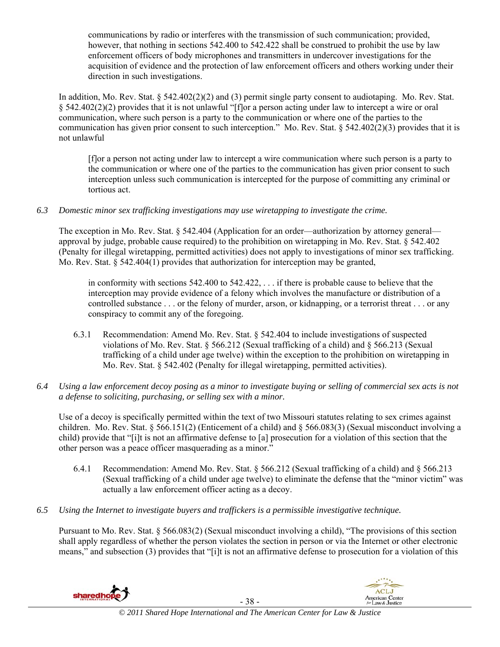communications by radio or interferes with the transmission of such communication; provided, however, that nothing in sections 542.400 to 542.422 shall be construed to prohibit the use by law enforcement officers of body microphones and transmitters in undercover investigations for the acquisition of evidence and the protection of law enforcement officers and others working under their direction in such investigations.

In addition, Mo. Rev. Stat. § 542.402(2)(2) and (3) permit single party consent to audiotaping. Mo. Rev. Stat. § 542.402(2)(2) provides that it is not unlawful "[f]or a person acting under law to intercept a wire or oral communication, where such person is a party to the communication or where one of the parties to the communication has given prior consent to such interception." Mo. Rev. Stat. § 542.402(2)(3) provides that it is not unlawful

[f]or a person not acting under law to intercept a wire communication where such person is a party to the communication or where one of the parties to the communication has given prior consent to such interception unless such communication is intercepted for the purpose of committing any criminal or tortious act.

# *6.3 Domestic minor sex trafficking investigations may use wiretapping to investigate the crime.*

The exception in Mo. Rev. Stat. § 542.404 (Application for an order—authorization by attorney general approval by judge, probable cause required) to the prohibition on wiretapping in Mo. Rev. Stat. § 542.402 (Penalty for illegal wiretapping, permitted activities) does not apply to investigations of minor sex trafficking. Mo. Rev. Stat. § 542.404(1) provides that authorization for interception may be granted,

in conformity with sections 542.400 to 542.422, . . . if there is probable cause to believe that the interception may provide evidence of a felony which involves the manufacture or distribution of a controlled substance . . . or the felony of murder, arson, or kidnapping, or a terrorist threat . . . or any conspiracy to commit any of the foregoing.

- 6.3.1 Recommendation: Amend Mo. Rev. Stat. § 542.404 to include investigations of suspected violations of Mo. Rev. Stat. § 566.212 (Sexual trafficking of a child) and § 566.213 (Sexual trafficking of a child under age twelve) within the exception to the prohibition on wiretapping in Mo. Rev. Stat. § 542.402 (Penalty for illegal wiretapping, permitted activities).
- *6.4 Using a law enforcement decoy posing as a minor to investigate buying or selling of commercial sex acts is not a defense to soliciting, purchasing, or selling sex with a minor.*

Use of a decoy is specifically permitted within the text of two Missouri statutes relating to sex crimes against children. Mo. Rev. Stat. § 566.151(2) (Enticement of a child) and § 566.083(3) (Sexual misconduct involving a child) provide that "[i]t is not an affirmative defense to [a] prosecution for a violation of this section that the other person was a peace officer masquerading as a minor."

- 6.4.1 Recommendation: Amend Mo. Rev. Stat. § 566.212 (Sexual trafficking of a child) and § 566.213 (Sexual trafficking of a child under age twelve) to eliminate the defense that the "minor victim" was actually a law enforcement officer acting as a decoy.
- *6.5 Using the Internet to investigate buyers and traffickers is a permissible investigative technique.*

Pursuant to Mo. Rev. Stat. § 566.083(2) (Sexual misconduct involving a child), "The provisions of this section shall apply regardless of whether the person violates the section in person or via the Internet or other electronic means," and subsection (3) provides that "[i]t is not an affirmative defense to prosecution for a violation of this



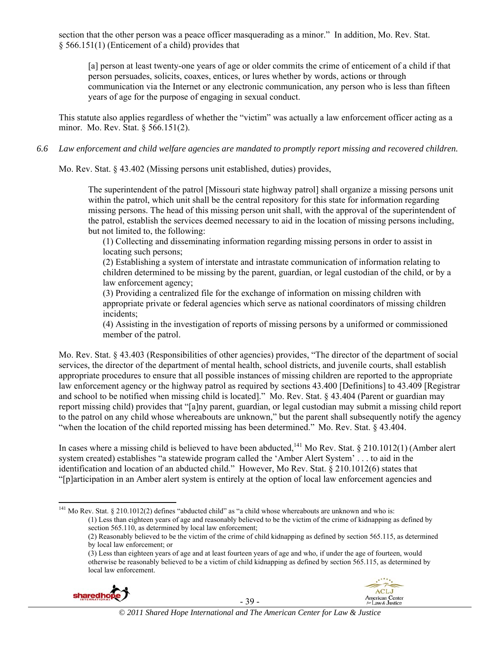section that the other person was a peace officer masquerading as a minor." In addition, Mo. Rev. Stat. § 566.151(1) (Enticement of a child) provides that

[a] person at least twenty-one years of age or older commits the crime of enticement of a child if that person persuades, solicits, coaxes, entices, or lures whether by words, actions or through communication via the Internet or any electronic communication, any person who is less than fifteen years of age for the purpose of engaging in sexual conduct.

This statute also applies regardless of whether the "victim" was actually a law enforcement officer acting as a minor. Mo. Rev. Stat. § 566.151(2).

*6.6 Law enforcement and child welfare agencies are mandated to promptly report missing and recovered children.* 

Mo. Rev. Stat. § 43.402 (Missing persons unit established, duties) provides,

The superintendent of the patrol [Missouri state highway patrol] shall organize a missing persons unit within the patrol, which unit shall be the central repository for this state for information regarding missing persons. The head of this missing person unit shall, with the approval of the superintendent of the patrol, establish the services deemed necessary to aid in the location of missing persons including, but not limited to, the following:

(1) Collecting and disseminating information regarding missing persons in order to assist in locating such persons;

(2) Establishing a system of interstate and intrastate communication of information relating to children determined to be missing by the parent, guardian, or legal custodian of the child, or by a law enforcement agency;

(3) Providing a centralized file for the exchange of information on missing children with appropriate private or federal agencies which serve as national coordinators of missing children incidents;

(4) Assisting in the investigation of reports of missing persons by a uniformed or commissioned member of the patrol.

Mo. Rev. Stat. § 43.403 (Responsibilities of other agencies) provides, "The director of the department of social services, the director of the department of mental health, school districts, and juvenile courts, shall establish appropriate procedures to ensure that all possible instances of missing children are reported to the appropriate law enforcement agency or the highway patrol as required by sections 43.400 [Definitions] to 43.409 [Registrar and school to be notified when missing child is located]." Mo. Rev. Stat. § 43.404 (Parent or guardian may report missing child) provides that "[a]ny parent, guardian, or legal custodian may submit a missing child report to the patrol on any child whose whereabouts are unknown," but the parent shall subsequently notify the agency "when the location of the child reported missing has been determined." Mo. Rev. Stat. § 43.404.

In cases where a missing child is believed to have been abducted,<sup>141</sup> Mo Rev. Stat. § 210.1012(1) (Amber alert system created) establishes "a statewide program called the 'Amber Alert System' . . . to aid in the identification and location of an abducted child." However, Mo Rev. Stat. § 210.1012(6) states that "[p]articipation in an Amber alert system is entirely at the option of local law enforcement agencies and

<sup>(3)</sup> Less than eighteen years of age and at least fourteen years of age and who, if under the age of fourteen, would otherwise be reasonably believed to be a victim of child kidnapping as defined by section 565.115, as determined by local law enforcement.





 <sup>141</sup> Mo Rev. Stat. § 210.1012(2) defines "abducted child" as "a child whose whereabouts are unknown and who is: (1) Less than eighteen years of age and reasonably believed to be the victim of the crime of kidnapping as defined by section 565.110, as determined by local law enforcement;

<sup>(2)</sup> Reasonably believed to be the victim of the crime of child kidnapping as defined by section 565.115, as determined by local law enforcement; or